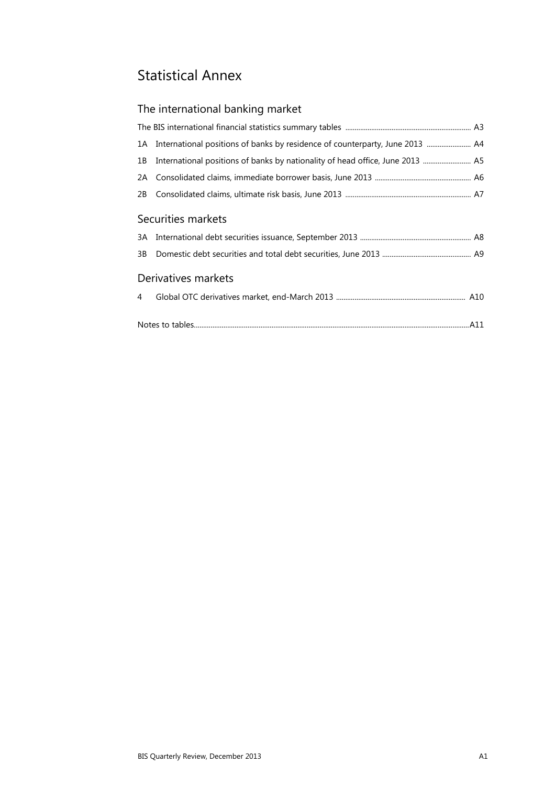# Statistical Annex

# The international banking market

| International positions of banks by residence of counterparty, June 2013  A4<br>1A |  |
|------------------------------------------------------------------------------------|--|
| 1B                                                                                 |  |
| 2A                                                                                 |  |
| 2B                                                                                 |  |
| Securities markets                                                                 |  |
| 3A                                                                                 |  |
| 3B                                                                                 |  |
| Derivatives markets                                                                |  |
| 4                                                                                  |  |
|                                                                                    |  |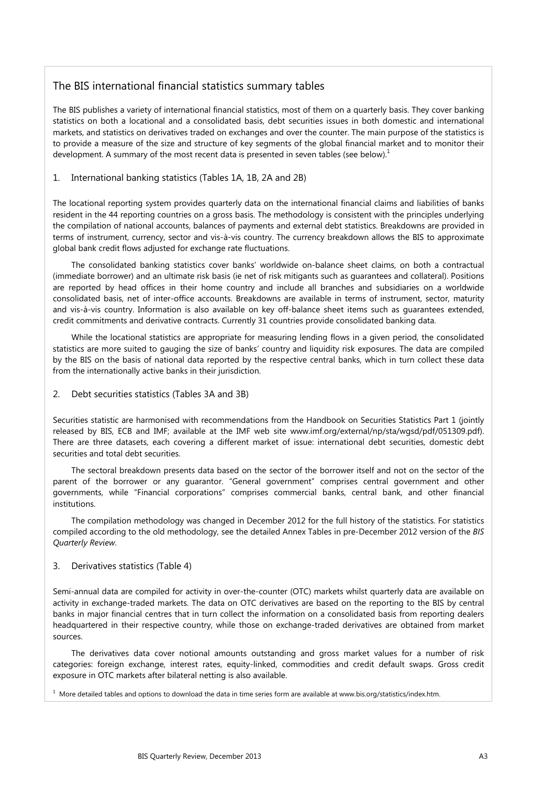## The BIS international financial statistics summary tables

The BIS publishes a variety of international financial statistics, most of them on a quarterly basis. They cover banking statistics on both a locational and a consolidated basis, debt securities issues in both domestic and international markets, and statistics on derivatives traded on exchanges and over the counter. The main purpose of the statistics is to provide a measure of the size and structure of key segments of the global financial market and to monitor their development. A summary of the most recent data is presented in seven tables (see below).<sup>1</sup>

### 1. International banking statistics (Tables 1A, 1B, 2A and 2B)

The locational reporting system provides quarterly data on the international financial claims and liabilities of banks resident in the 44 reporting countries on a gross basis. The methodology is consistent with the principles underlying the compilation of national accounts, balances of payments and external debt statistics. Breakdowns are provided in terms of instrument, currency, sector and vis-à-vis country. The currency breakdown allows the BIS to approximate global bank credit flows adjusted for exchange rate fluctuations.

The consolidated banking statistics cover banks' worldwide on-balance sheet claims, on both a contractual (immediate borrower) and an ultimate risk basis (ie net of risk mitigants such as guarantees and collateral). Positions are reported by head offices in their home country and include all branches and subsidiaries on a worldwide consolidated basis, net of inter-office accounts. Breakdowns are available in terms of instrument, sector, maturity and vis-à-vis country. Information is also available on key off-balance sheet items such as guarantees extended, credit commitments and derivative contracts. Currently 31 countries provide consolidated banking data.

While the locational statistics are appropriate for measuring lending flows in a given period, the consolidated statistics are more suited to gauging the size of banks' country and liquidity risk exposures. The data are compiled by the BIS on the basis of national data reported by the respective central banks, which in turn collect these data from the internationally active banks in their jurisdiction.

### 2. Debt securities statistics (Tables 3A and 3B)

Securities statistic are harmonised with recommendations from the Handbook on Securities Statistics Part 1 (jointly released by BIS, ECB and IMF; available at the IMF web site www.imf.org/external/np/sta/wgsd/pdf/051309.pdf). There are three datasets, each covering a different market of issue: international debt securities, domestic debt securities and total debt securities.

The sectoral breakdown presents data based on the sector of the borrower itself and not on the sector of the parent of the borrower or any guarantor. "General government" comprises central government and other governments, while "Financial corporations" comprises commercial banks, central bank, and other financial institutions.

The compilation methodology was changed in December 2012 for the full history of the statistics. For statistics compiled according to the old methodology, see the detailed Annex Tables in pre-December 2012 version of the *BIS Quarterly Review*.

### 3. Derivatives statistics (Table 4)

Semi-annual data are compiled for activity in over-the-counter (OTC) markets whilst quarterly data are available on activity in exchange-traded markets. The data on OTC derivatives are based on the reporting to the BIS by central banks in major financial centres that in turn collect the information on a consolidated basis from reporting dealers headquartered in their respective country, while those on exchange-traded derivatives are obtained from market sources.

The derivatives data cover notional amounts outstanding and gross market values for a number of risk categories: foreign exchange, interest rates, equity-linked, commodities and credit default swaps. Gross credit exposure in OTC markets after bilateral netting is also available.

 $1$  More detailed tables and options to download the data in time series form are available at www.bis.org/statistics/index.htm.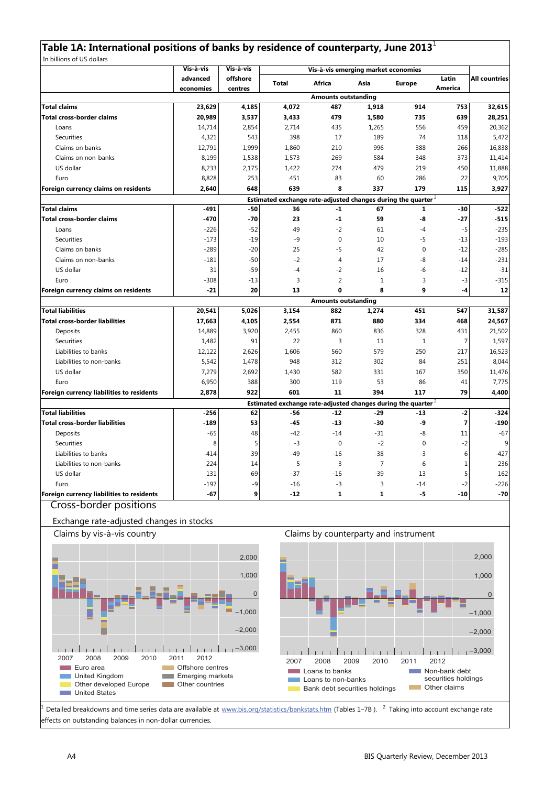## **Table 1A: International positions of banks by residence of counterparty, June 2013**<sup>1</sup>

In billions of US dollars

|                                                | Vis-à-vis | Vis-à-vis | Vis-à-vis emerging market economies |                                                                  |                |               |                |                      |
|------------------------------------------------|-----------|-----------|-------------------------------------|------------------------------------------------------------------|----------------|---------------|----------------|----------------------|
|                                                | advanced  | offshore  | <b>Total</b>                        | Africa                                                           | Asia           | <b>Europe</b> | Latin          | <b>All countries</b> |
|                                                | economies | centres   |                                     |                                                                  |                |               | America        |                      |
|                                                |           |           |                                     | <b>Amounts outstanding</b>                                       |                |               |                |                      |
| <b>Total claims</b>                            | 23,629    | 4,185     | 4,072                               | 487                                                              | 1,918          | 914           | 753            | 32,615               |
| <b>Total cross-border claims</b>               | 20,989    | 3,537     | 3,433                               | 479                                                              | 1,580          | 735           | 639            | 28,251               |
| Loans                                          | 14,714    | 2,854     | 2,714                               | 435                                                              | 1,265          | 556           | 459            | 20,362               |
| Securities                                     | 4,321     | 543       | 398                                 | 17                                                               | 189            | 74            | 118            | 5,472                |
| Claims on banks                                | 12,791    | 1,999     | 1,860                               | 210                                                              | 996            | 388           | 266            | 16,838               |
| Claims on non-banks                            | 8,199     | 1,538     | 1,573                               | 269                                                              | 584            | 348           | 373            | 11,414               |
| US dollar                                      | 8,233     | 2,175     | 1,422                               | 274                                                              | 479            | 219           | 450            | 11,888               |
| Euro                                           | 8,828     | 253       | 451                                 | 83                                                               | 60             | 286           | 22             | 9,705                |
| Foreign currency claims on residents           | 2,640     | 648       | 639                                 | 8                                                                | 337            | 179           | 115            | 3,927                |
|                                                |           |           |                                     | Estimated exchange rate-adjusted changes during the quarter $^2$ |                |               |                |                      |
| <b>Total claims</b>                            | $-491$    | $-50$     | 36                                  | $-1$                                                             | 67             | $\mathbf{1}$  | $-30$          | $-522$               |
| <b>Total cross-border claims</b>               | $-470$    | $-70$     | 23                                  | $\mathbf{1}$                                                     | 59             | -8            | $-27$          | $-515$               |
| Loans                                          | $-226$    | $-52$     | 49                                  | $-2$                                                             | 61             | $-4$          | $-5$           | $-235$               |
| Securities                                     | $-173$    | $-19$     | -9                                  | $\pmb{0}$                                                        | 10             | $-5$          | $-13$          | $-193$               |
| Claims on banks                                | $-289$    | $-20$     | 25                                  | -5                                                               | 42             | $\mathbf 0$   | $-12$          | $-285$               |
| Claims on non-banks                            | $-181$    | $-50$     | $-2$                                | $\overline{4}$                                                   | 17             | -8            | $-14$          | $-231$               |
| US dollar                                      | 31        | $-59$     | $-4$                                | $-2$                                                             | 16             | $-6$          | $-12$          | $-31$                |
| Euro                                           | $-308$    | -13       | 3                                   | $\overline{2}$                                                   | $1\,$          | 3             | $-3$           | $-315$               |
| Foreign currency claims on residents           | $-21$     | 20        | 13                                  | 0                                                                | 8              | 9             | -4             | 12                   |
|                                                |           |           |                                     | <b>Amounts outstanding</b>                                       |                |               |                |                      |
| <b>Total liabilities</b>                       | 20,541    | 5,026     | 3,154                               | 882                                                              | 1,274          | 451           | 547            | 31,587               |
| <b>Total cross-border liabilities</b>          | 17,663    | 4,105     | 2,554                               | 871                                                              | 880            | 334           | 468            | 24,567               |
| Deposits                                       | 14,889    | 3,920     | 2,455                               | 860                                                              | 836            | 328           | 431            | 21,502               |
| Securities                                     | 1,482     | 91        | 22                                  | 3                                                                | 11             | 1             | 7              | 1,597                |
| Liabilities to banks                           | 12,122    | 2,626     | 1,606                               | 560                                                              | 579            | 250           | 217            | 16,523               |
| Liabilities to non-banks                       | 5,542     | 1,478     | 948                                 | 312                                                              | 302            | 84            | 251            | 8,044                |
| US dollar                                      | 7,279     | 2,692     | 1,430                               | 582                                                              | 331            | 167           | 350            | 11,476               |
| Euro                                           | 6,950     | 388       | 300                                 | 119                                                              | 53             | 86            | 41             | 7,775                |
| Foreign currency liabilities to residents      | 2,878     | 922       | 601                                 | 11                                                               | 394            | 117           | 79             | 4,400                |
|                                                |           |           |                                     | Estimated exchange rate-adjusted changes during the quarter $^2$ |                |               |                |                      |
| <b>Total liabilities</b>                       | $-256$    | 62        | -56                                 | $-12$                                                            | $-29$          | $-13$         | $-2$           | $-324$               |
| <b>Total cross-border liabilities</b>          | $-189$    | 53        | $-45$                               | $-13$                                                            | -30            | -9            | $\overline{7}$ | $-190$               |
| Deposits                                       | $-65$     | 48        | $-42$                               | $-14$                                                            | $-31$          | -8            | 11             | $-67$                |
| <b>Securities</b>                              | 8         | 5         | $-3$                                | $\mathbf{0}$                                                     | $-2$           | 0             | $-2$           | 9                    |
| Liabilities to banks                           | $-414$    | 39        | $-49$                               | $-16$                                                            | $-38$          | -3            | 6              | $-427$               |
| Liabilities to non-banks                       | 224       | 14        | 5                                   | 3                                                                | $\overline{7}$ | -6            | $\mathbf{1}$   | 236                  |
| US dollar                                      | 131       | 69        | $-37$                               | $-16$                                                            | $-39$          | 13            | 5              | 162                  |
| Euro                                           | $-197$    | -9        | $-16$                               | $-3$                                                             | 3              | $-14$         | $-2$           | $-226$               |
| Foreign currency liabilities to residents      | $-67$     | 9         | $-12$                               | 1                                                                | 1              | -5            | $-10$          | $-70$                |
| $\sigma$ and a large decomposition of $\sigma$ |           |           |                                     |                                                                  |                |               |                |                      |

Cross-border positions

### Exchange rate-adjusted changes in stocks



Detailed breakdowns and time series data are available at www.bis.org/statistics/bankstats.htm (Tables 1–7B). <sup>2</sup> Taking into account exchange rate effects on outstanding balances in non-dollar currencies.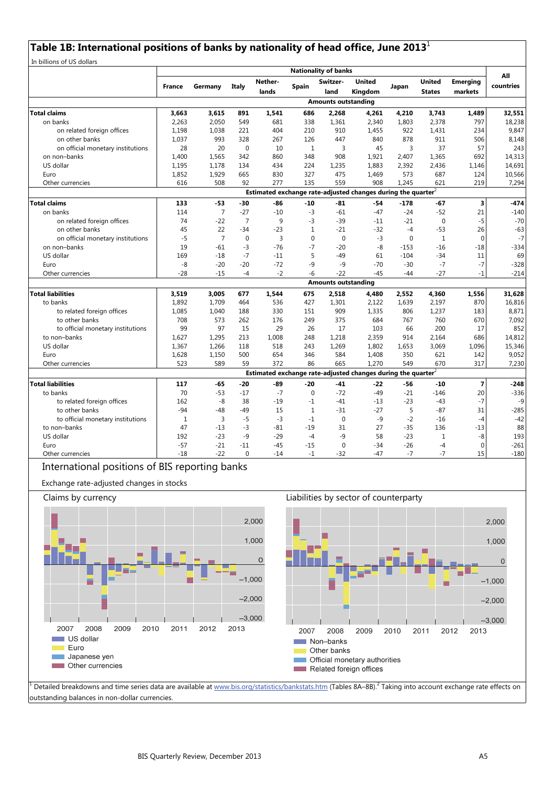# **Table 1B: International positions of banks by nationality of head office, June 2013**<sup>1</sup>

|                                                                                            |               |                |                |                |              | <b>Nationality of banks</b> |                                                                          |                |               |                 |           |
|--------------------------------------------------------------------------------------------|---------------|----------------|----------------|----------------|--------------|-----------------------------|--------------------------------------------------------------------------|----------------|---------------|-----------------|-----------|
|                                                                                            |               |                |                | Nether-        |              | Switzer-                    | <b>United</b>                                                            |                | <b>United</b> | <b>Emerging</b> | All       |
|                                                                                            | <b>France</b> | Germany        | Italy          | lands          | Spain        | land                        | Kingdom                                                                  | Japan          | <b>States</b> | markets         | countries |
|                                                                                            |               |                |                |                |              | <b>Amounts outstanding</b>  |                                                                          |                |               |                 |           |
| <b>Total claims</b>                                                                        | 3.663         | 3,615          | 891            | 1,541          | 686          | 2,268                       | 4,261                                                                    | 4,210          | 3,743         | 1.489           | 32,551    |
| on banks                                                                                   | 2,263         | 2,050          | 549            | 681            | 338          | 1,361                       | 2,340                                                                    | 1,803          | 2,378         | 797             | 18,238    |
| on related foreign offices                                                                 | 1,198         | 1,038          | 221            | 404            | 210          | 910                         | 1,455                                                                    | 922            | 1,431         | 234             | 9,847     |
| on other banks                                                                             | 1,037         | 993            | 328            | 267            | 126          | 447                         | 840                                                                      | 878            | 911           | 506             | 8,148     |
| on official monetary institutions                                                          | 28            | 20             | $\mathbf 0$    | 10             | $\mathbf{1}$ | $\overline{3}$              | 45                                                                       | $\overline{3}$ | 37            | 57              | 243       |
| on non-banks                                                                               | 1,400         | 1,565          | 342            | 860            | 348          | 908                         | 1,921                                                                    | 2,407          | 1,365         | 692             | 14,313    |
| US dollar                                                                                  | 1,195         | 1,178          | 134            | 434            | 224          | 1,235                       | 1,883                                                                    | 2,392          | 2,436         | 1,146           | 14,691    |
| Euro                                                                                       | 1,852         | 1,929          | 665            | 830            | 327          | 475                         | 1,469                                                                    | 573            | 687           | 124             | 10,566    |
| Other currencies                                                                           | 616           | 508            | 92             | 277            | 135          | 559                         | 908                                                                      | 1,245          | 621           | 219             | 7,294     |
|                                                                                            |               |                |                |                |              |                             | Estimated exchange rate-adjusted changes during the quarter <sup>2</sup> |                |               |                 |           |
| <b>Total claims</b>                                                                        | 133           | $-53$          | $-30$          | -86            | $-10$        | $-81$                       | $-54$                                                                    | $-178$         | $-67$         | 3               | $-474$    |
| on banks                                                                                   | 114           | $\overline{7}$ | $-27$          | $-10$          | $-3$         | $-61$                       | $-47$                                                                    | $-24$          | $-52$         | 21              | $-140$    |
| on related foreign offices                                                                 | 74            | $-22$          | $\overline{7}$ | 9              | $-3$         | $-39$                       | $-11$                                                                    | $-21$          | $\mathbf 0$   | $-5$            | $-70$     |
| on other banks                                                                             | 45            | 22             | $-34$          | $-23$          | $\mathbf{1}$ | $-21$                       | $-32$                                                                    | $-4$           | $-53$         | 26              | $-63$     |
| on official monetary institutions                                                          | $-5$          | $\overline{7}$ | $\mathbf 0$    | $\overline{3}$ | $\mathbf{0}$ | $\mathbf{0}$                | $-3$                                                                     | $\mathbf 0$    | $\mathbf{1}$  | $\mathbf 0$     | $-7$      |
| on non-banks                                                                               | 19            | $-61$          | $-3$           | $-76$          | $-7$         | $-20$                       | $-8$                                                                     | $-153$         | $-16$         | $-18$           | $-334$    |
| US dollar                                                                                  | 169           | $-18$          | $-7$           | $-11$          | 5            | $-49$                       | 61                                                                       | $-104$         | $-34$         | 11              | 69        |
| Euro                                                                                       | -8            | $-20$          | $-20$          | $-72$          | -9           | $-9$                        | $-70$                                                                    | $-30$          | $-7$          | $-7$            | $-328$    |
| Other currencies                                                                           | $-28$         | $-15$          | $-4$           | $-2$           | -6           | $-22$                       | $-45$                                                                    | $-44$          | $-27$         | $-1$            | $-214$    |
|                                                                                            |               |                |                |                |              | <b>Amounts outstanding</b>  |                                                                          |                |               |                 |           |
| <b>Total liabilities</b>                                                                   | 3,519         | 3,005          | 677            | 1,544          | 675          | 2,518                       | 4,480                                                                    | 2,552          | 4,360         | 1,556           | 31,628    |
| to banks                                                                                   | 1,892         | 1,709          | 464            | 536            | 427          | 1,301                       | 2,122                                                                    | 1,639          | 2,197         | 870             | 16,816    |
| to related foreign offices                                                                 | 1,085         | 1,040          | 188            | 330            | 151          | 909                         | 1,335                                                                    | 806            | 1,237         | 183             | 8,871     |
| to other banks                                                                             | 708           | 573            | 262            | 176            | 249          | 375                         | 684                                                                      | 767            | 760           | 670             | 7,092     |
| to official monetary institutions                                                          | 99            | 97             | 15             | 29             | 26           | 17                          | 103                                                                      | 66             | 200           | 17              | 852       |
| to non-banks                                                                               | 1,627         | 1,295          | 213            | 1,008          | 248          | 1,218                       | 2,359                                                                    | 914            | 2,164         | 686             | 14,812    |
| US dollar                                                                                  | 1,367         | 1,266          | 118            | 518            | 243          | 1,269                       | 1.802                                                                    | 1,653          | 3,069         | 1,096           | 15,346    |
| Euro                                                                                       | 1,628         | 1,150          | 500            | 654            | 346          | 584                         | 1,408                                                                    | 350            | 621           | 142             | 9,052     |
| Other currencies                                                                           | 523           | 589            | 59             | 372            | 86           | 665                         | 1,270                                                                    | 549            | 670           | 317             | 7,230     |
|                                                                                            |               |                |                |                |              |                             | Estimated exchange rate-adjusted changes during the quarter $2$          |                |               |                 |           |
| <b>Total liabilities</b>                                                                   | 117           | $-65$          | $-20$          | -89            | $-20$        | $-41$                       | -22                                                                      | $-56$          | $-10$         | $\overline{7}$  | $-248$    |
| to banks                                                                                   | 70            | $-53$          | $-17$          | $-7$           | $\mathbf{0}$ | $-72$                       | $-49$                                                                    | $-21$          | $-146$        | 20              | $-336$    |
| to related foreign offices                                                                 | 162           | -8             | 38             | $-19$          | $-1$         | $-41$                       | $-13$                                                                    | $-23$          | $-43$         | $-7$            | -9        |
| to other banks                                                                             | $-94$         | $-48$          | -49            | 15             | $\mathbf{1}$ | $-31$                       | $-27$                                                                    | 5              | $-87$         | 31              | $-285$    |
| to official monetary institutions                                                          | $1\,$         | $\overline{3}$ | $-5$           | $-3$           | $-1$         | $\mathbf{0}$                | -9                                                                       | $-2$           | $-16$         | $-4$            | $-42$     |
| to non-banks                                                                               | 47            | $-13$          | $-3$           | -81            | $-19$        | 31                          | 27                                                                       | $-35$          | 136           | $-13$           | 88        |
| US dollar                                                                                  | 192           | $-23$          | $-9$           | $-29$          | $-4$         | -9                          | 58                                                                       | $-23$          | $\mathbf 1$   | -8              | 193       |
| Euro                                                                                       | $-57$         | $-21$          | $-11$          | -45            | $-15$        | $\mathbf{0}$                | $-34$                                                                    | $-26$          | $-4$          | $\mathbf{0}$    | $-261$    |
| Other currencies                                                                           | $-18$         | $-22$          | $\Omega$       | $-14$          | $-1$         | $-32$                       | $-47$                                                                    | $-7$           | $-7$          | 15              | $-180$    |
| International positions of BIS reporting banks<br>Exchange rate-adjusted changes in stocks |               |                |                |                |              |                             |                                                                          |                |               |                 |           |
| Claims by currency                                                                         |               |                |                |                |              |                             | Liabilities by sector of counterparty                                    |                |               |                 |           |
|                                                                                            |               |                |                | 2,000          |              |                             |                                                                          |                |               |                 | 2.000     |





1 Detailed breakdowns and time series data are available at www.bis.org/statistics/bankstats.htm (Tables 8A–8B).<sup>2</sup> Taking into account exchange rate effects on outstanding balances in non-dollar currencies.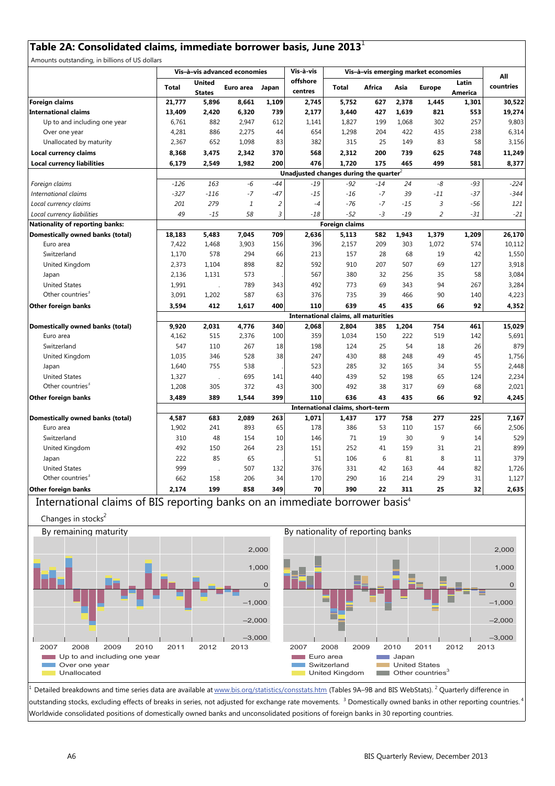## **Table 2A: Consolidated claims, immediate borrower basis, June 2013**<sup>1</sup>

Amounts outstanding, in billions of US dollars

| J,                                      |                       | Vis-à-vis advanced economies                       |           |                |                                             | Vis-à-vis<br>Vis-à-vis emerging market economies |        |       |                |                  | All       |
|-----------------------------------------|-----------------------|----------------------------------------------------|-----------|----------------|---------------------------------------------|--------------------------------------------------|--------|-------|----------------|------------------|-----------|
|                                         | <b>Total</b>          | <b>United</b><br><b>States</b>                     | Euro area | Japan          | offshore<br>centres                         | <b>Total</b>                                     | Africa | Asia  | <b>Europe</b>  | Latin<br>America | countries |
| <b>Foreign claims</b>                   | 21,777                | 5,896                                              | 8,661     | 1,109          | 2,745                                       | 5,752                                            | 627    | 2,378 | 1,445          | 1,301            | 30,522    |
| <b>International claims</b>             | 13,409                | 2,420                                              | 6,320     | 739            | 2,177                                       | 3,440                                            | 427    | 1,639 | 821            | 553              | 19,274    |
| Up to and including one year            | 6,761                 | 882                                                | 2,947     | 612            | 1,141                                       | 1,827                                            | 199    | 1,068 | 302            | 257              | 9,803     |
| Over one year                           | 4,281                 | 886                                                | 2,275     | 44             | 654                                         | 1,298                                            | 204    | 422   | 435            | 238              | 6,314     |
| Unallocated by maturity                 | 2,367                 | 652                                                | 1,098     | 83             | 382                                         | 315                                              | 25     | 149   | 83             | 58               | 3,156     |
| Local currency claims                   | 8,368                 | 3,475                                              | 2,342     | 370            | 568                                         | 2,312                                            | 200    | 739   | 625            | 748              | 11,249    |
| <b>Local currency liabilities</b>       | 6,179                 | 2,549                                              | 1,982     | 200            | 476                                         | 1,720                                            | 175    | 465   | 499            | 581              | 8,377     |
|                                         |                       | Unadjusted changes during the quarter <sup>2</sup> |           |                |                                             |                                                  |        |       |                |                  |           |
| Foreign claims                          | $-126$                | 163                                                | $-6$      | $-44$          | $-19$                                       | $-92$                                            | $-14$  | 24    | -8             | $-93$            | $-224$    |
| International claims                    | $-327$                | $-116$                                             | $-7$      | $-47$          | $-15$                                       | $-16$                                            | $-7$   | 39    | -11            | $-37$            | $-344$    |
| Local currency claims                   | 201                   | 279                                                | $\it 1$   | $\overline{c}$ | $-4$                                        | $-76$                                            | $-7$   | $-15$ | $\mathfrak z$  | -56              | 121       |
| Local currency liabilities              | 49                    | $-15$                                              | 58        | 3              | $-18$                                       | $-52$                                            | -3     | $-19$ | $\overline{2}$ | $-31$            | $-21$     |
| Nationality of reporting banks:         | <b>Foreign claims</b> |                                                    |           |                |                                             |                                                  |        |       |                |                  |           |
| Domestically owned banks (total)        | 18,183                | 5,483                                              | 7,045     | 709            | 2,636                                       | 5,113                                            | 582    | 1,943 | 1,379          | 1,209            | 26,170    |
| Euro area                               | 7,422                 | 1,468                                              | 3,903     | 156            | 396                                         | 2,157                                            | 209    | 303   | 1,072          | 574              | 10,112    |
| Switzerland                             | 1,170                 | 578                                                | 294       | 66             | 213                                         | 157                                              | 28     | 68    | 19             | 42               | 1,550     |
| United Kingdom                          | 2,373                 | 1,104                                              | 898       | 82             | 592                                         | 910                                              | 207    | 507   | 69             | 127              | 3,918     |
| Japan                                   | 2,136                 | 1,131                                              | 573       |                | 567                                         | 380                                              | 32     | 256   | 35             | 58               | 3,084     |
| <b>United States</b>                    | 1,991                 |                                                    | 789       | 343            | 492                                         | 773                                              | 69     | 343   | 94             | 267              | 3,284     |
| Other countries <sup>3</sup>            | 3,091                 | 1,202                                              | 587       | 63             | 376                                         | 735                                              | 39     | 466   | 90             | 140              | 4,223     |
| Other foreign banks                     | 3,594                 | 412                                                | 1,617     | 400            | 110                                         | 639                                              | 45     | 435   | 66             | 92               | 4,352     |
|                                         |                       |                                                    |           |                | <b>International claims, all maturities</b> |                                                  |        |       |                |                  |           |
| <b>Domestically owned banks (total)</b> | 9,920                 | 2,031                                              | 4,776     | 340            | 2,068                                       | 2,804                                            | 385    | 1,204 | 754            | 461              | 15,029    |
| Euro area                               | 4,162                 | 515                                                | 2,376     | 100            | 359                                         | 1,034                                            | 150    | 222   | 519            | 142              | 5,691     |
| Switzerland                             | 547                   | 110                                                | 267       | 18             | 198                                         | 124                                              | 25     | 54    | 18             | 26               | 879       |
| United Kingdom                          | 1,035                 | 346                                                | 528       | 38             | 247                                         | 430                                              | 88     | 248   | 49             | 45               | 1,756     |
| Japan                                   | 1,640                 | 755                                                | 538       |                | 523                                         | 285                                              | 32     | 165   | 34             | 55               | 2,448     |
| <b>United States</b>                    | 1,327                 |                                                    | 695       | 141            | 440                                         | 439                                              | 52     | 198   | 65             | 124              | 2,234     |
| Other countries <sup>3</sup>            | 1,208                 | 305                                                | 372       | 43             | 300                                         | 492                                              | 38     | 317   | 69             | 68               | 2,021     |
| Other foreign banks                     | 3,489                 | 389                                                | 1,544     | 399            | 110                                         | 636                                              | 43     | 435   | 66             | 92               | 4,245     |
|                                         |                       |                                                    |           |                |                                             | International claims, short-term                 |        |       |                |                  |           |
| Domestically owned banks (total)        | 4,587                 | 683                                                | 2,089     | 263            | 1,071                                       | 1,437                                            | 177    | 758   | 277            | 225              | 7,167     |
| Euro area                               | 1,902                 | 241                                                | 893       | 65             | 178                                         | 386                                              | 53     | 110   | 157            | 66               | 2,506     |
| Switzerland                             | 310                   | 48                                                 | 154       | 10             | 146                                         | 71                                               | 19     | 30    | 9              | 14               | 529       |
| United Kingdom                          | 492                   | 150                                                | 264       | 23             | 151                                         | 252                                              | 41     | 159   | 31             | 21               | 899       |
| Japan                                   | 222                   | 85                                                 | 65        |                | 51                                          | 106                                              | 6      | 81    | 8              | 11               | 379       |
| <b>United States</b>                    | 999                   |                                                    | 507       | 132            | 376                                         | 331                                              | 42     | 163   | 44             | 82               | 1,726     |
| Other countries <sup>3</sup>            | 662                   | 158                                                | 206       | 34             | 170                                         | 290                                              | 16     | 214   | 29             | 31               | 1,127     |
| <b>Other foreign banks</b>              | 2,174                 | 199                                                | 858       | 349            | 70                                          | 390                                              | 22     | 311   | 25             | 32               | 2,635     |

International claims of BIS reporting banks on an immediate borrower basis<sup>4</sup>



 $^1$  Detailed breakdowns and time series data are available at www.bis.org/statistics/consstats.htm (Tables 9A–9B and BIS WebStats). <sup>2</sup> Quarterly difference in outstanding stocks, excluding effects of breaks in series, not adjusted for exchange rate movements.<sup>3</sup> Domestically owned banks in other reporting countries.<sup>4</sup> Worldwide consolidated positions of domestically owned banks and unconsolidated positions of foreign banks in 30 reporting countries.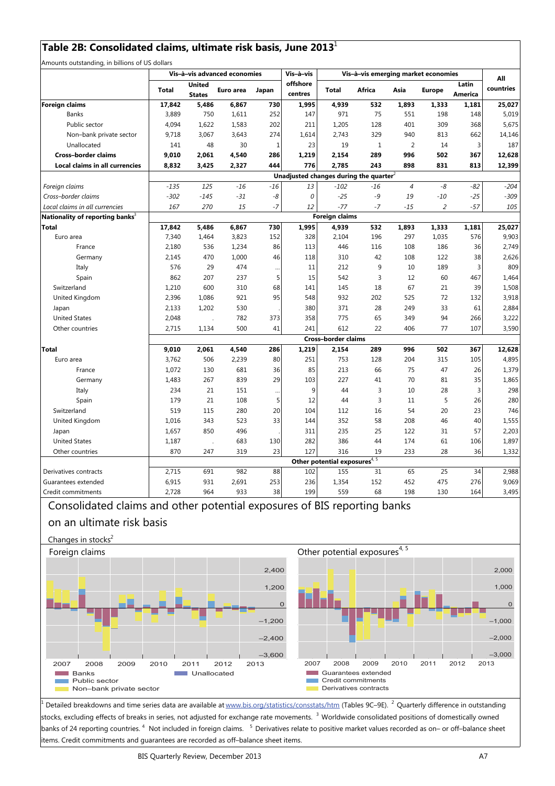## **Table 2B: Consolidated claims, ultimate risk basis, June 2013**<sup>1</sup>

Amounts outstanding, in billions of US dollars

| offshore<br>Latin<br>United<br>countries<br>Africa<br>Asia<br><b>Total</b><br>Euro area<br><b>Total</b><br><b>Europe</b><br>Japan<br>centres<br><b>America</b><br><b>States</b><br><b>Foreign claims</b><br>730<br>532<br>1,893<br>17,842<br>5,486<br>6,867<br>1,995<br>4,939<br>1,333<br>1,181<br>25,027<br>3,889<br>750<br>252<br>971<br>75<br>551<br>198<br><b>Banks</b><br>1,611<br>147<br>148<br>Public sector<br>4,094<br>1,622<br>1,583<br>202<br>211<br>1,205<br>128<br>401<br>309<br>368<br>329<br>662<br>Non-bank private sector<br>9,718<br>3,067<br>3,643<br>274<br>1,614<br>2,743<br>940<br>813<br>48<br>30<br>23<br>19<br>2<br>3<br>Unallocated<br>141<br>1<br>1<br>14<br><b>Cross-border claims</b><br>9,010<br>2,061<br>2,154<br>996<br>502<br>4,540<br>286<br>1,219<br>289<br>367<br>776<br>2,785<br>243<br>Local claims in all currencies<br>8,832<br>3,425<br>2,327<br>444<br>898<br>831<br>813<br>Unadjusted changes during the quarter <sup>2</sup><br>$-135$<br>125<br>$-16$<br>$-16$<br>13<br>$-102$<br>$-16$<br>$\overline{4}$<br>-8<br>-82<br>$-204$<br>Foreign claims<br>$-145$<br>-8<br>0<br>$-25$<br>$-9$<br>19<br>Cross-border claims<br>$-302$<br>$-31$<br>$-10$<br>$-25$<br>270<br>$-7$<br>$-77$<br>105<br>Local claims in all currencies<br>167<br>15<br>12<br>$-7$<br>$-15$<br>$\overline{2}$<br>$-57$<br><b>Foreign claims</b><br>Nationality of reporting banks <sup>3</sup><br>730<br>1,995<br>4,939<br>1,181<br><b>Total</b><br>17,842<br>5,486<br>6,867<br>532<br>1,893<br>1,333<br>152<br>Euro area<br>7,340<br>1,464<br>3,823<br>328<br>2,104<br>196<br>297<br>1,035<br>576<br>1,234<br>86<br>113<br>446<br>116<br>108<br>186<br>France<br>2,180<br>536<br>36<br>470<br>1,000<br>46<br>118<br>310<br>42<br>108<br>122<br>38<br>Germany<br>2,145<br>576<br>9<br>3<br>Italy<br>29<br>474<br>11<br>212<br>10<br>189<br><br>862<br>207<br>237<br>5<br>542<br>3<br>Spain<br>15<br>12<br>60<br>467<br>600<br>68<br>Switzerland<br>1,210<br>310<br>141<br>145<br>18<br>67<br>21<br>39 |                |       |       | Vis-à-vis advanced economies |    | Vis-à-vis | Vis-à-vis emerging market economies |     |     |    |     | All   |  |
|------------------------------------------------------------------------------------------------------------------------------------------------------------------------------------------------------------------------------------------------------------------------------------------------------------------------------------------------------------------------------------------------------------------------------------------------------------------------------------------------------------------------------------------------------------------------------------------------------------------------------------------------------------------------------------------------------------------------------------------------------------------------------------------------------------------------------------------------------------------------------------------------------------------------------------------------------------------------------------------------------------------------------------------------------------------------------------------------------------------------------------------------------------------------------------------------------------------------------------------------------------------------------------------------------------------------------------------------------------------------------------------------------------------------------------------------------------------------------------------------------------------------------------------------------------------------------------------------------------------------------------------------------------------------------------------------------------------------------------------------------------------------------------------------------------------------------------------------------------------------------------------------------------------------------------------------------------------------------------------------------------------------|----------------|-------|-------|------------------------------|----|-----------|-------------------------------------|-----|-----|----|-----|-------|--|
|                                                                                                                                                                                                                                                                                                                                                                                                                                                                                                                                                                                                                                                                                                                                                                                                                                                                                                                                                                                                                                                                                                                                                                                                                                                                                                                                                                                                                                                                                                                                                                                                                                                                                                                                                                                                                                                                                                                                                                                                                        |                |       |       |                              |    |           |                                     |     |     |    |     |       |  |
|                                                                                                                                                                                                                                                                                                                                                                                                                                                                                                                                                                                                                                                                                                                                                                                                                                                                                                                                                                                                                                                                                                                                                                                                                                                                                                                                                                                                                                                                                                                                                                                                                                                                                                                                                                                                                                                                                                                                                                                                                        |                |       |       |                              |    |           |                                     |     |     |    |     |       |  |
| 5,675<br>14,146<br>187<br>12,628<br>12,399<br>$-309$<br>25,027<br>9,903<br>2,749<br>2,626<br>809<br>1,464<br>1,508                                                                                                                                                                                                                                                                                                                                                                                                                                                                                                                                                                                                                                                                                                                                                                                                                                                                                                                                                                                                                                                                                                                                                                                                                                                                                                                                                                                                                                                                                                                                                                                                                                                                                                                                                                                                                                                                                                     |                |       |       |                              |    |           |                                     |     |     |    |     | 5,019 |  |
|                                                                                                                                                                                                                                                                                                                                                                                                                                                                                                                                                                                                                                                                                                                                                                                                                                                                                                                                                                                                                                                                                                                                                                                                                                                                                                                                                                                                                                                                                                                                                                                                                                                                                                                                                                                                                                                                                                                                                                                                                        |                |       |       |                              |    |           |                                     |     |     |    |     |       |  |
|                                                                                                                                                                                                                                                                                                                                                                                                                                                                                                                                                                                                                                                                                                                                                                                                                                                                                                                                                                                                                                                                                                                                                                                                                                                                                                                                                                                                                                                                                                                                                                                                                                                                                                                                                                                                                                                                                                                                                                                                                        |                |       |       |                              |    |           |                                     |     |     |    |     |       |  |
|                                                                                                                                                                                                                                                                                                                                                                                                                                                                                                                                                                                                                                                                                                                                                                                                                                                                                                                                                                                                                                                                                                                                                                                                                                                                                                                                                                                                                                                                                                                                                                                                                                                                                                                                                                                                                                                                                                                                                                                                                        |                |       |       |                              |    |           |                                     |     |     |    |     |       |  |
|                                                                                                                                                                                                                                                                                                                                                                                                                                                                                                                                                                                                                                                                                                                                                                                                                                                                                                                                                                                                                                                                                                                                                                                                                                                                                                                                                                                                                                                                                                                                                                                                                                                                                                                                                                                                                                                                                                                                                                                                                        |                |       |       |                              |    |           |                                     |     |     |    |     |       |  |
|                                                                                                                                                                                                                                                                                                                                                                                                                                                                                                                                                                                                                                                                                                                                                                                                                                                                                                                                                                                                                                                                                                                                                                                                                                                                                                                                                                                                                                                                                                                                                                                                                                                                                                                                                                                                                                                                                                                                                                                                                        |                |       |       |                              |    |           |                                     |     |     |    |     |       |  |
|                                                                                                                                                                                                                                                                                                                                                                                                                                                                                                                                                                                                                                                                                                                                                                                                                                                                                                                                                                                                                                                                                                                                                                                                                                                                                                                                                                                                                                                                                                                                                                                                                                                                                                                                                                                                                                                                                                                                                                                                                        |                |       |       |                              |    |           |                                     |     |     |    |     |       |  |
|                                                                                                                                                                                                                                                                                                                                                                                                                                                                                                                                                                                                                                                                                                                                                                                                                                                                                                                                                                                                                                                                                                                                                                                                                                                                                                                                                                                                                                                                                                                                                                                                                                                                                                                                                                                                                                                                                                                                                                                                                        |                |       |       |                              |    |           |                                     |     |     |    |     |       |  |
|                                                                                                                                                                                                                                                                                                                                                                                                                                                                                                                                                                                                                                                                                                                                                                                                                                                                                                                                                                                                                                                                                                                                                                                                                                                                                                                                                                                                                                                                                                                                                                                                                                                                                                                                                                                                                                                                                                                                                                                                                        |                |       |       |                              |    |           |                                     |     |     |    |     |       |  |
|                                                                                                                                                                                                                                                                                                                                                                                                                                                                                                                                                                                                                                                                                                                                                                                                                                                                                                                                                                                                                                                                                                                                                                                                                                                                                                                                                                                                                                                                                                                                                                                                                                                                                                                                                                                                                                                                                                                                                                                                                        |                |       |       |                              |    |           |                                     |     |     |    |     |       |  |
|                                                                                                                                                                                                                                                                                                                                                                                                                                                                                                                                                                                                                                                                                                                                                                                                                                                                                                                                                                                                                                                                                                                                                                                                                                                                                                                                                                                                                                                                                                                                                                                                                                                                                                                                                                                                                                                                                                                                                                                                                        |                |       |       |                              |    |           |                                     |     |     |    |     |       |  |
|                                                                                                                                                                                                                                                                                                                                                                                                                                                                                                                                                                                                                                                                                                                                                                                                                                                                                                                                                                                                                                                                                                                                                                                                                                                                                                                                                                                                                                                                                                                                                                                                                                                                                                                                                                                                                                                                                                                                                                                                                        |                |       |       |                              |    |           |                                     |     |     |    |     |       |  |
|                                                                                                                                                                                                                                                                                                                                                                                                                                                                                                                                                                                                                                                                                                                                                                                                                                                                                                                                                                                                                                                                                                                                                                                                                                                                                                                                                                                                                                                                                                                                                                                                                                                                                                                                                                                                                                                                                                                                                                                                                        |                |       |       |                              |    |           |                                     |     |     |    |     |       |  |
|                                                                                                                                                                                                                                                                                                                                                                                                                                                                                                                                                                                                                                                                                                                                                                                                                                                                                                                                                                                                                                                                                                                                                                                                                                                                                                                                                                                                                                                                                                                                                                                                                                                                                                                                                                                                                                                                                                                                                                                                                        |                |       |       |                              |    |           |                                     |     |     |    |     |       |  |
|                                                                                                                                                                                                                                                                                                                                                                                                                                                                                                                                                                                                                                                                                                                                                                                                                                                                                                                                                                                                                                                                                                                                                                                                                                                                                                                                                                                                                                                                                                                                                                                                                                                                                                                                                                                                                                                                                                                                                                                                                        |                |       |       |                              |    |           |                                     |     |     |    |     |       |  |
|                                                                                                                                                                                                                                                                                                                                                                                                                                                                                                                                                                                                                                                                                                                                                                                                                                                                                                                                                                                                                                                                                                                                                                                                                                                                                                                                                                                                                                                                                                                                                                                                                                                                                                                                                                                                                                                                                                                                                                                                                        |                |       |       |                              |    |           |                                     |     |     |    |     |       |  |
|                                                                                                                                                                                                                                                                                                                                                                                                                                                                                                                                                                                                                                                                                                                                                                                                                                                                                                                                                                                                                                                                                                                                                                                                                                                                                                                                                                                                                                                                                                                                                                                                                                                                                                                                                                                                                                                                                                                                                                                                                        |                |       |       |                              |    |           |                                     |     |     |    |     |       |  |
|                                                                                                                                                                                                                                                                                                                                                                                                                                                                                                                                                                                                                                                                                                                                                                                                                                                                                                                                                                                                                                                                                                                                                                                                                                                                                                                                                                                                                                                                                                                                                                                                                                                                                                                                                                                                                                                                                                                                                                                                                        |                |       |       |                              |    |           |                                     |     |     |    |     |       |  |
|                                                                                                                                                                                                                                                                                                                                                                                                                                                                                                                                                                                                                                                                                                                                                                                                                                                                                                                                                                                                                                                                                                                                                                                                                                                                                                                                                                                                                                                                                                                                                                                                                                                                                                                                                                                                                                                                                                                                                                                                                        | United Kingdom | 2,396 | 1,086 | 921                          | 95 | 548       | 932                                 | 202 | 525 | 72 | 132 | 3,918 |  |
| 1,202<br>371<br>28<br>249<br>33<br>61<br>2,884<br>2,133<br>530<br>380<br>Japan                                                                                                                                                                                                                                                                                                                                                                                                                                                                                                                                                                                                                                                                                                                                                                                                                                                                                                                                                                                                                                                                                                                                                                                                                                                                                                                                                                                                                                                                                                                                                                                                                                                                                                                                                                                                                                                                                                                                         |                |       |       |                              |    |           |                                     |     |     |    |     |       |  |
| <b>United States</b><br>782<br>775<br>65<br>349<br>94<br>3,222<br>2,048<br>373<br>358<br>266                                                                                                                                                                                                                                                                                                                                                                                                                                                                                                                                                                                                                                                                                                                                                                                                                                                                                                                                                                                                                                                                                                                                                                                                                                                                                                                                                                                                                                                                                                                                                                                                                                                                                                                                                                                                                                                                                                                           |                |       |       |                              |    |           |                                     |     |     |    |     |       |  |
| 500<br>241<br>612<br>22<br>3,590<br>Other countries<br>2,715<br>1,134<br>41<br>406<br>77<br>107                                                                                                                                                                                                                                                                                                                                                                                                                                                                                                                                                                                                                                                                                                                                                                                                                                                                                                                                                                                                                                                                                                                                                                                                                                                                                                                                                                                                                                                                                                                                                                                                                                                                                                                                                                                                                                                                                                                        |                |       |       |                              |    |           |                                     |     |     |    |     |       |  |
| <b>Cross-border claims</b>                                                                                                                                                                                                                                                                                                                                                                                                                                                                                                                                                                                                                                                                                                                                                                                                                                                                                                                                                                                                                                                                                                                                                                                                                                                                                                                                                                                                                                                                                                                                                                                                                                                                                                                                                                                                                                                                                                                                                                                             |                |       |       |                              |    |           |                                     |     |     |    |     |       |  |
| 286<br>1,219<br>2,154<br>289<br>996<br>502<br>367<br>12,628<br><b>Total</b><br>9,010<br>2,061<br>4,540                                                                                                                                                                                                                                                                                                                                                                                                                                                                                                                                                                                                                                                                                                                                                                                                                                                                                                                                                                                                                                                                                                                                                                                                                                                                                                                                                                                                                                                                                                                                                                                                                                                                                                                                                                                                                                                                                                                 |                |       |       |                              |    |           |                                     |     |     |    |     |       |  |
| 753<br>4,895<br>3,762<br>506<br>2,239<br>80<br>251<br>128<br>204<br>315<br>Euro area<br>105                                                                                                                                                                                                                                                                                                                                                                                                                                                                                                                                                                                                                                                                                                                                                                                                                                                                                                                                                                                                                                                                                                                                                                                                                                                                                                                                                                                                                                                                                                                                                                                                                                                                                                                                                                                                                                                                                                                            |                |       |       |                              |    |           |                                     |     |     |    |     |       |  |
| 1,379<br>1,072<br>681<br>36<br>85<br>213<br>66<br>75<br>47<br>France<br>130<br>26                                                                                                                                                                                                                                                                                                                                                                                                                                                                                                                                                                                                                                                                                                                                                                                                                                                                                                                                                                                                                                                                                                                                                                                                                                                                                                                                                                                                                                                                                                                                                                                                                                                                                                                                                                                                                                                                                                                                      |                |       |       |                              |    |           |                                     |     |     |    |     |       |  |
| 1,865<br>267<br>839<br>29<br>103<br>227<br>41<br>70<br>35<br>Germany<br>1,483<br>81                                                                                                                                                                                                                                                                                                                                                                                                                                                                                                                                                                                                                                                                                                                                                                                                                                                                                                                                                                                                                                                                                                                                                                                                                                                                                                                                                                                                                                                                                                                                                                                                                                                                                                                                                                                                                                                                                                                                    |                |       |       |                              |    |           |                                     |     |     |    |     |       |  |
| 298<br>Italy<br>234<br>21<br>9<br>44<br>3<br>28<br>3<br>151<br>10<br>                                                                                                                                                                                                                                                                                                                                                                                                                                                                                                                                                                                                                                                                                                                                                                                                                                                                                                                                                                                                                                                                                                                                                                                                                                                                                                                                                                                                                                                                                                                                                                                                                                                                                                                                                                                                                                                                                                                                                  |                |       |       |                              |    |           |                                     |     |     |    |     |       |  |
| 5<br>3<br>5<br>280<br>Spain<br>179<br>21<br>108<br>12<br>11<br>44<br>26                                                                                                                                                                                                                                                                                                                                                                                                                                                                                                                                                                                                                                                                                                                                                                                                                                                                                                                                                                                                                                                                                                                                                                                                                                                                                                                                                                                                                                                                                                                                                                                                                                                                                                                                                                                                                                                                                                                                                |                |       |       |                              |    |           |                                     |     |     |    |     |       |  |
| 20<br>746<br>Switzerland<br>519<br>115<br>280<br>104<br>54<br>20<br>23<br>112<br>16                                                                                                                                                                                                                                                                                                                                                                                                                                                                                                                                                                                                                                                                                                                                                                                                                                                                                                                                                                                                                                                                                                                                                                                                                                                                                                                                                                                                                                                                                                                                                                                                                                                                                                                                                                                                                                                                                                                                    |                |       |       |                              |    |           |                                     |     |     |    |     |       |  |
| 1,555<br>343<br>523<br>33<br>352<br>58<br>208<br>46<br>40<br>United Kingdom<br>1,016<br>144                                                                                                                                                                                                                                                                                                                                                                                                                                                                                                                                                                                                                                                                                                                                                                                                                                                                                                                                                                                                                                                                                                                                                                                                                                                                                                                                                                                                                                                                                                                                                                                                                                                                                                                                                                                                                                                                                                                            |                |       |       |                              |    |           |                                     |     |     |    |     |       |  |
| 57<br>2,203<br>1,657<br>850<br>496<br>235<br>25<br>122<br>31<br>Japan<br>311                                                                                                                                                                                                                                                                                                                                                                                                                                                                                                                                                                                                                                                                                                                                                                                                                                                                                                                                                                                                                                                                                                                                                                                                                                                                                                                                                                                                                                                                                                                                                                                                                                                                                                                                                                                                                                                                                                                                           |                |       |       |                              |    |           |                                     |     |     |    |     |       |  |
| 1,897<br><b>United States</b><br>1,187<br>683<br>130<br>282<br>386<br>44<br>174<br>61<br>106<br>$\ddot{\phantom{a}}$                                                                                                                                                                                                                                                                                                                                                                                                                                                                                                                                                                                                                                                                                                                                                                                                                                                                                                                                                                                                                                                                                                                                                                                                                                                                                                                                                                                                                                                                                                                                                                                                                                                                                                                                                                                                                                                                                                   |                |       |       |                              |    |           |                                     |     |     |    |     |       |  |
| 23<br>127<br>1,332<br>Other countries<br>870<br>247<br>319<br>316<br>19<br>233<br>28<br>36                                                                                                                                                                                                                                                                                                                                                                                                                                                                                                                                                                                                                                                                                                                                                                                                                                                                                                                                                                                                                                                                                                                                                                                                                                                                                                                                                                                                                                                                                                                                                                                                                                                                                                                                                                                                                                                                                                                             |                |       |       |                              |    |           |                                     |     |     |    |     |       |  |
| Other potential exposures <sup>4, 5</sup>                                                                                                                                                                                                                                                                                                                                                                                                                                                                                                                                                                                                                                                                                                                                                                                                                                                                                                                                                                                                                                                                                                                                                                                                                                                                                                                                                                                                                                                                                                                                                                                                                                                                                                                                                                                                                                                                                                                                                                              |                |       |       |                              |    |           |                                     |     |     |    |     |       |  |
| 982<br>88<br>102<br>155<br>65<br>25<br>34<br>2,988<br>2,715<br>691<br>31<br>Derivatives contracts                                                                                                                                                                                                                                                                                                                                                                                                                                                                                                                                                                                                                                                                                                                                                                                                                                                                                                                                                                                                                                                                                                                                                                                                                                                                                                                                                                                                                                                                                                                                                                                                                                                                                                                                                                                                                                                                                                                      |                |       |       |                              |    |           |                                     |     |     |    |     |       |  |
| 253<br>152<br>9,069<br>6,915<br>931<br>2,691<br>236<br>1,354<br>452<br>475<br>276<br>Guarantees extended                                                                                                                                                                                                                                                                                                                                                                                                                                                                                                                                                                                                                                                                                                                                                                                                                                                                                                                                                                                                                                                                                                                                                                                                                                                                                                                                                                                                                                                                                                                                                                                                                                                                                                                                                                                                                                                                                                               |                |       |       |                              |    |           |                                     |     |     |    |     |       |  |
| 3,495<br>Credit commitments<br>2,728<br>964<br>933<br>38<br>199<br>559<br>68<br>198<br>130<br>164                                                                                                                                                                                                                                                                                                                                                                                                                                                                                                                                                                                                                                                                                                                                                                                                                                                                                                                                                                                                                                                                                                                                                                                                                                                                                                                                                                                                                                                                                                                                                                                                                                                                                                                                                                                                                                                                                                                      |                |       |       |                              |    |           |                                     |     |     |    |     |       |  |

## Consolidated claims and other potential exposures of BIS reporting banks

## on an ultimate risk basis



1 Detailed breakdowns and time series data are available at www.bis.org/statistics/consstats/htm (Tables 9C–9E). <sup>2</sup> Quarterly difference in outstanding stocks, excluding effects of breaks in series, not adjusted for exchange rate movements. <sup>3</sup> Worldwide consolidated positions of domestically owned banks of 24 reporting countries. <sup>4</sup> Not included in foreign claims. <sup>5</sup> Derivatives relate to positive market values recorded as on– or off–balance sheet items. Credit commitments and guarantees are recorded as off–balance sheet items.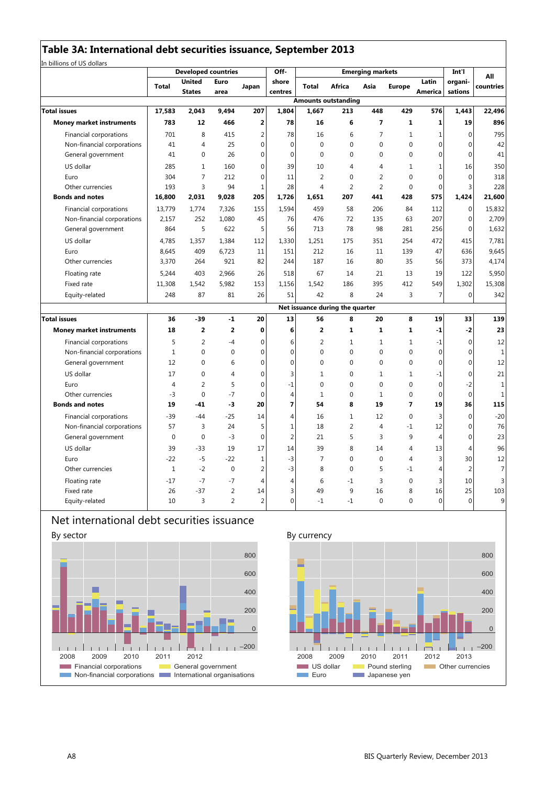|                                 |                | <b>Developed countries</b>     |                |                         | Off-             |                |                                 | <b>Emerging markets</b> |                |                  | Int'l              | All            |
|---------------------------------|----------------|--------------------------------|----------------|-------------------------|------------------|----------------|---------------------------------|-------------------------|----------------|------------------|--------------------|----------------|
|                                 | <b>Total</b>   | <b>United</b><br><b>States</b> | Euro<br>area   | Japan                   | shore<br>centres | <b>Total</b>   | Africa                          | Asia                    | Europe         | Latin<br>America | organi-<br>sations | countries      |
|                                 |                |                                |                |                         |                  |                | <b>Amounts outstanding</b>      |                         |                |                  |                    |                |
| <b>Total issues</b>             | 17,583         | 2,043                          | 9.494          | 207                     | 1,804            | 1,667          | 213                             | 448                     | 429            | 576              | 1,443              | 22,496         |
| <b>Money market instruments</b> | 783            | 12                             | 466            | $\overline{\mathbf{2}}$ | 78               | 16             | 6                               | $\overline{ }$          | $\mathbf{1}$   | $\mathbf 1$      | 19                 | 896            |
| Financial corporations          | 701            | 8                              | 415            | 2                       | 78               | 16             | 6                               | $\overline{7}$          | $\mathbf{1}$   | $\mathbf{1}$     | $\mathbf 0$        | 795            |
| Non-financial corporations      | 41             | 4                              | 25             | $\mathbf 0$             | $\mathbf 0$      | $\mathbf 0$    | $\mathbf 0$                     | $\mathbf{0}$            | $\mathbf 0$    | $\mathbf{0}$     | $\mathbf 0$        | 42             |
| General government              | 41             | 0                              | 26             | $\mathbf{0}$            | $\mathbf 0$      | $\mathbf 0$    | $\mathbf 0$                     | 0                       | $\mathbf 0$    | $\mathbf{0}$     | $\mathbf 0$        | 41             |
| US dollar                       | 285            | 1                              | 160            | $\mathbf{0}$            | 39               | 10             | 4                               | 4                       | 1              | $\mathbf{1}$     | 16                 | 350            |
| Euro                            | 304            | $\overline{7}$                 | 212            | $\Omega$                | 11               | $\overline{2}$ | $\Omega$                        | $\overline{2}$          | $\Omega$       | $\Omega$         | $\Omega$           | 318            |
| Other currencies                | 193            | 3                              | 94             | 1                       | 28               | 4              | $\overline{2}$                  | $\overline{2}$          | $\mathbf{0}$   | $\mathbf 0$      | 3                  | 228            |
| <b>Bonds and notes</b>          | 16,800         | 2,031                          | 9,028          | 205                     | 1,726            | 1,651          | 207                             | 441                     | 428            | 575              | 1,424              | 21,600         |
| Financial corporations          | 13,779         | 1.774                          | 7,326          | 155                     | 1,594            | 459            | 58                              | 206                     | 84             | 112              | $\mathbf{0}$       | 15,832         |
| Non-financial corporations      | 2,157          | 252                            | 1,080          | 45                      | 76               | 476            | 72                              | 135                     | 63             | 207              | $\mathbf 0$        | 2,709          |
| General government              | 864            | 5                              | 622            | 5                       | 56               | 713            | 78                              | 98                      | 281            | 256              | $\mathbf 0$        | 1,632          |
| US dollar                       | 4,785          | 1,357                          | 1,384          | 112                     | 1,330            | 1,251          | 175                             | 351                     | 254            | 472              | 415                | 7,781          |
| Euro                            | 8,645          | 409                            | 6,723          | 11                      | 151              | 212            | 16                              | 11                      | 139            | 47               | 636                | 9,645          |
| Other currencies                | 3,370          | 264                            | 921            | 82                      | 244              | 187            | 16                              | 80                      | 35             | 56               | 373                | 4,174          |
| Floating rate                   | 5,244          | 403                            | 2,966          | 26                      | 518              | 67             | 14                              | 21                      | 13             | 19               | 122                | 5,950          |
| Fixed rate                      | 11,308         | 1,542                          | 5,982          | 153                     | 1,156            | 1,542          | 186                             | 395                     | 412            | 549              | 1,302              | 15,308         |
| Equity-related                  | 248            | 87                             | 81             | 26                      | 51               | 42             | 8                               | 24                      | 3              | 7                | $\boldsymbol{0}$   | 342            |
|                                 |                |                                |                |                         |                  |                | Net issuance during the quarter |                         |                |                  |                    |                |
| <b>Total issues</b>             | 36             | -39                            | $-1$           | 20                      | 13               | 56             | 8                               | 20                      | 8              | 19               | 33                 | 139            |
| <b>Money market instruments</b> | 18             | 2                              | $\overline{2}$ | $\mathbf{0}$            | 6                | $\overline{2}$ | 1                               | $\mathbf{1}$            | 1              | $-1$             | $-2$               | 23             |
| Financial corporations          | 5              | 2                              | $-4$           | $\Omega$                | 6                | $\overline{2}$ | 1                               | $\mathbf{1}$            | $\mathbf{1}$   | $-1$             | $\mathbf 0$        | 12             |
| Non-financial corporations      | $\mathbf 1$    | $\pmb{0}$                      | $\mathbf 0$    | $\mathbf 0$             | $\mathbf 0$      | 0              | 0                               | $\mathbf 0$             | $\mathbf 0$    | $\mathbf 0$      | $\boldsymbol{0}$   | $\mathbf{1}$   |
| General government              | 12             | 0                              | 6              | $\Omega$                | $\mathbf 0$      | $\Omega$       | $\mathbf 0$                     | $\mathbf{0}$            | $\mathbf{0}$   | $\mathbf 0$      | $\mathbf 0$        | 12             |
| US dollar                       | 17             | $\mathbf{0}$                   | $\overline{4}$ | $\Omega$                | 3                | $\mathbf{1}$   | $\mathbf 0$                     | 1                       | $\mathbf{1}$   | $-1$             | $\mathbf{0}$       | 21             |
| Euro                            | $\overline{4}$ | $\overline{2}$                 | 5              | $\Omega$                | $-1$             | $\Omega$       | 0                               | $\mathbf 0$             | 0              | $\mathbf 0$      | $-2$               | $\mathbf{1}$   |
| Other currencies                | $-3$           | $\mathbf 0$                    | $-7$           | $\Omega$                | 4                | $\mathbf{1}$   | 0                               | $\mathbf{1}$            | $\mathbf 0$    | $\mathbf{0}$     | $\mathbf 0$        | $\mathbf{1}$   |
| <b>Bonds and notes</b>          | 19             | $-41$                          | -3             | 20                      | 7                | 54             | 8                               | 19                      | $\overline{ }$ | 19               | 36                 | 115            |
| Financial corporations          | $-39$          | $-44$                          | $-25$          | 14                      | 4                | 16             | $\mathbf{1}$                    | 12                      | $\Omega$       | 3                | $\mathbf 0$        | $-20$          |
| Non-financial corporations      | 57             | 3                              | 24             | 5                       | $\mathbf{1}$     | 18             | $\overline{2}$                  | $\overline{4}$          | $-1$           | 12               | 0                  | 76             |
| General government              | $\Omega$       | $\mathbf 0$                    | $-3$           | $\Omega$                | $\overline{2}$   | 21             | 5                               | $\overline{3}$          | 9              | $\overline{4}$   | $\mathbf 0$        | 23             |
| US dollar                       | 39             | $-33$                          | 19             | 17                      | 14               | 39             | 8                               | 14                      | 4              | 13               | 4                  | 96             |
| Euro                            | $-22$          | $-5$                           | $-22$          | 1                       | $-3$             | $\overline{7}$ | 0                               | $\mathbf 0$             | 4              | 3                | 30                 | 12             |
| Other currencies                | $\mathbf{1}$   | $-2$                           | $\mathbf 0$    | $\overline{2}$          | $-3$             | 8              | $\Omega$                        | 5                       | $-1$           | 4                | $\overline{2}$     | $\overline{7}$ |
| Floating rate                   | $-17$          | $-7$                           | $-7$           | $\overline{4}$          | 4                | 6              | $-1$                            | 3                       | 0              | 3                | 10                 | 3              |
| Fixed rate                      | 26             | $-37$                          | $\overline{2}$ | 14                      | 3                | 49             | 9                               | 16                      | 8              | 16               | 25                 | 103            |
| Equity-related                  | 10             | 3                              | $\overline{2}$ | $\overline{2}$          | $\Omega$         | $-1$           | $-1$                            | $\Omega$                | $\Omega$       | $\Omega$         | $\Omega$           | 9              |

## Net international debt securities issuance



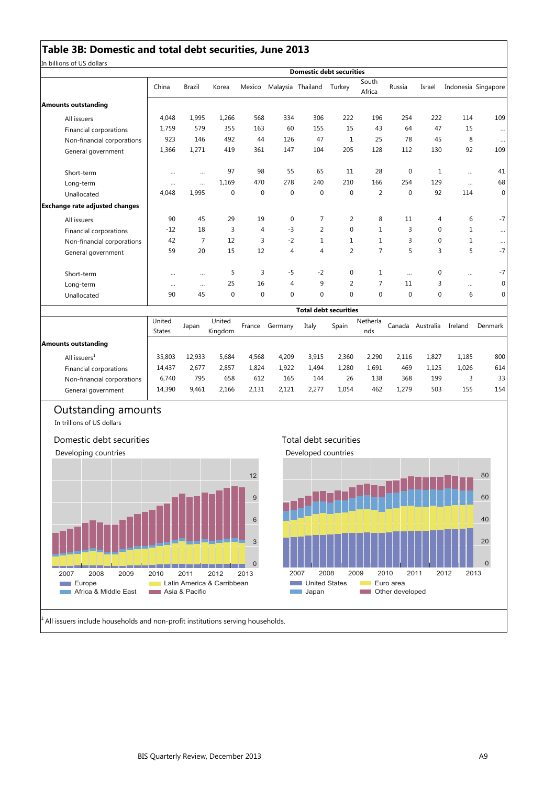## **Table 3B: Domestic and total debt securities, June 2013**

In billions of US dollars

|                                       |                         |               |                   |              |                | <b>Domestic debt securities</b> |                |                 |              |           |              |                     |
|---------------------------------------|-------------------------|---------------|-------------------|--------------|----------------|---------------------------------|----------------|-----------------|--------------|-----------|--------------|---------------------|
|                                       | China                   | <b>Brazil</b> | Korea             | Mexico       |                | Malaysia Thailand               | Turkey         | South<br>Africa | Russia       | Israel    |              | Indonesia Singapore |
| <b>Amounts outstanding</b>            |                         |               |                   |              |                |                                 |                |                 |              |           |              |                     |
| All issuers                           | 4,048                   | 1,995         | 1,266             | 568          | 334            | 306                             | 222            | 196             | 254          | 222       | 114          | 109                 |
| Financial corporations                | 1,759                   | 579           | 355               | 163          | 60             | 155                             | 15             | 43              | 64           | 47        | 15           | $\cdots$            |
| Non-financial corporations            | 923                     | 146           | 492               | 44           | 126            | 47                              | 1              | 25              | 78           | 45        | 8            | $\cdots$            |
| General government                    | 1,366                   | 1,271         | 419               | 361          | 147            | 104                             | 205            | 128             | 112          | 130       | 92           | 109                 |
| Short-term                            |                         | $\cdots$      | 97                | 98           | 55             | 65                              | 11             | 28              | $\mathbf{0}$ | 1         |              | 41                  |
| Long-term                             | $\cdots$                | $\cdots$      | 1,169             | 470          | 278            | 240                             | 210            | 166             | 254          | 129       | $\cdots$     | 68                  |
| Unallocated                           | 4.048                   | 1,995         | $\mathbf 0$       | $\mathbf{0}$ | $\mathbf 0$    | $\mathbf{0}$                    | $\mathbf 0$    | $\overline{2}$  | $\mathbf{0}$ | 92        | 114          | $\mathbf{0}$        |
| <b>Exchange rate adjusted changes</b> |                         |               |                   |              |                |                                 |                |                 |              |           |              |                     |
| All issuers                           | 90                      | 45            | 29                | 19           | $\mathbf 0$    | 7                               | 2              | 8               | 11           | 4         | 6            | $-7$                |
| Financial corporations                | $-12$                   | 18            | 3                 | 4            | $-3$           | $\overline{2}$                  | 0              | 1               | 3            | 0         | 1            | $\cdots$            |
| Non-financial corporations            | 42                      | 7             | 12                | 3            | $-2$           | $\mathbf{1}$                    | $\mathbf{1}$   | 1               | 3            | 0         | $\mathbf{1}$ | $\cdots$            |
| General government                    | 59                      | 20            | 15                | 12           | $\overline{4}$ | 4                               | 2              | 7               | 5            | 3         | 5            | $-7$                |
| Short-term                            | $\cdots$                |               | 5                 | 3            | $-5$           | $-2$                            | 0              | 1               | $\cdots$     | 0         | $\cdots$     | $-7$                |
| Long-term                             | $\cdots$                | $\cdots$      | 25                | 16           | $\overline{4}$ | 9                               | $\overline{2}$ | 7               | 11           | 3         | $\cdots$     | $\mathbf 0$         |
| Unallocated                           | 90                      | 45            | $\mathbf 0$       | $\mathbf{0}$ | $\mathbf 0$    | $\mathbf 0$                     | 0              | $\mathbf 0$     | $\mathbf{0}$ | 0         | 6            | $\mathbf 0$         |
|                                       |                         |               |                   |              |                | <b>Total debt securities</b>    |                |                 |              |           |              |                     |
|                                       | United<br><b>States</b> | Japan         | United<br>Kingdom | France       | Germany        | Italy                           | Spain          | Netherla<br>nds | Canada       | Australia | Ireland      | Denmark             |
| <b>Amounts outstanding</b>            |                         |               |                   |              |                |                                 |                |                 |              |           |              |                     |
| All issuers <sup>1</sup>              | 35,803                  | 12,933        | 5,684             | 4,568        | 4,209          | 3,915                           | 2,360          | 2,290           | 2,116        | 1,827     | 1,185        | 800                 |

Financial corporations | 14,437 2,677 2,857 1,824 1,922 1,494 1,280 1,691 469 1,125 1,026 614 Non-financial corporations 6,740 795 658 612 165 144 26 138 368 199 3 33<br>General government 14,390 9,461 2,166 2,131 2,121 2,277 1,054 462 1,279 503 155 154 General government | 14,390 9,461 2,166 2,131 2,121 2,277 1,054 462 1,279 503 155 154

## Outstanding amounts

In trillions of US dollars

### Domestic debt securities



### Total debt securities



All issuers include households and non-profit institutions serving households.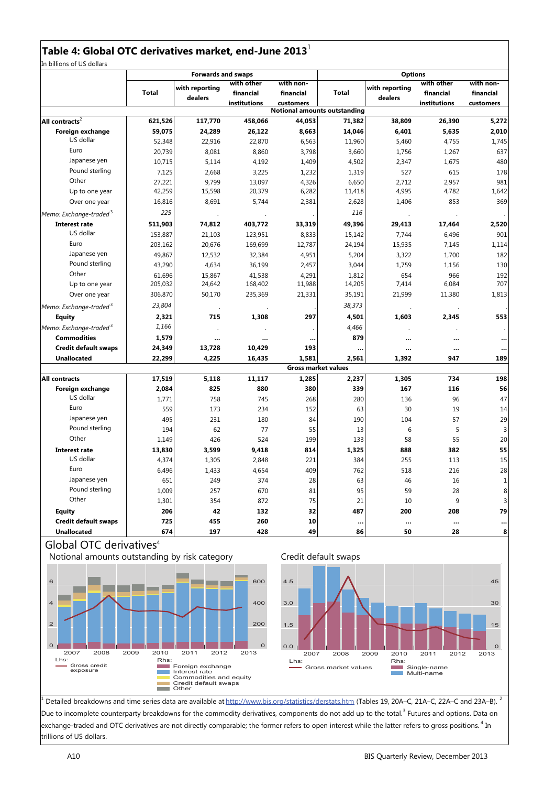## **Table 4: Global OTC derivatives market, end-June 2013**

In billions of US dollars

|                                    |         | <b>Forwards and swaps</b> |                     |                                     | <b>Options</b> |                |                     |                  |  |  |
|------------------------------------|---------|---------------------------|---------------------|-------------------------------------|----------------|----------------|---------------------|------------------|--|--|
|                                    |         |                           | with other          | with non-                           |                | with reporting | with other          | with non-        |  |  |
|                                    | Total   | with reporting            | financial           | financial                           | <b>Total</b>   |                | financial           | financial        |  |  |
|                                    |         | dealers                   | <i>institutions</i> | <b>customers</b>                    |                | dealers        | <b>institutions</b> | <b>customers</b> |  |  |
|                                    |         |                           |                     | <b>Notional amounts outstanding</b> |                |                |                     |                  |  |  |
| All contracts $2$                  | 621,526 | 117,770                   | 458,066             | 44,053                              | 71,382         | 38,809         | 26,390              | 5,272            |  |  |
| Foreign exchange                   | 59,075  | 24,289                    | 26,122              | 8,663                               | 14,046         | 6,401          | 5,635               | 2,010            |  |  |
| US dollar                          | 52,348  | 22,916                    | 22,870              | 6,563                               | 11,960         | 5,460          | 4,755               | 1,745            |  |  |
| Euro                               | 20,739  | 8,081                     | 8,860               | 3,798                               | 3,660          | 1,756          | 1,267               | 637              |  |  |
| Japanese yen                       | 10,715  | 5,114                     | 4,192               | 1,409                               | 4,502          | 2,347          | 1,675               | 480              |  |  |
| Pound sterling                     | 7,125   | 2,668                     | 3,225               | 1,232                               | 1,319          | 527            | 615                 | 178              |  |  |
| Other                              | 27,221  | 9,799                     | 13,097              | 4,326                               | 6,650          | 2,712          | 2,957               | 981              |  |  |
| Up to one year                     | 42,259  | 15,598                    | 20,379              | 6,282                               | 11,418         | 4,995          | 4,782               | 1,642            |  |  |
| Over one year                      | 16,816  | 8,691                     | 5,744               | 2,381                               | 2,628          | 1,406          | 853                 | 369              |  |  |
| Memo: Exchange-traded <sup>3</sup> | 225     |                           |                     |                                     | 116            |                |                     |                  |  |  |
| <b>Interest rate</b>               | 511.903 | 74,812                    | 403,772             | 33,319                              | 49,396         | 29,413         | 17,464              | 2,520            |  |  |
| US dollar                          | 153,887 | 21,103                    | 123,951             | 8,833                               | 15,142         | 7,744          | 6,496               | 901              |  |  |
| Euro                               | 203,162 | 20,676                    | 169,699             | 12,787                              | 24,194         | 15,935         | 7,145               | 1,114            |  |  |
| Japanese yen                       | 49,867  | 12,532                    | 32,384              | 4,951                               | 5,204          | 3,322          | 1,700               | 182              |  |  |
| Pound sterling                     | 43,290  | 4,634                     | 36,199              | 2,457                               | 3,044          | 1,759          | 1,156               | 130              |  |  |
| Other                              | 61,696  | 15,867                    | 41,538              | 4,291                               | 1,812          | 654            | 966                 | 192              |  |  |
| Up to one year                     | 205,032 | 24,642                    | 168,402             | 11,988                              | 14,205         | 7,414          | 6,084               | 707              |  |  |
| Over one year                      | 306,870 | 50,170                    | 235,369             | 21,331                              | 35,191         | 21,999         | 11,380              | 1,813            |  |  |
| Memo: Exchange-traded <sup>3</sup> | 23,804  |                           |                     |                                     | 38,373         |                |                     |                  |  |  |
| <b>Equity</b>                      | 2,321   | 715                       | 1,308               | 297                                 | 4,501          | 1,603          | 2,345               | 553              |  |  |
| Memo: Exchange-traded <sup>3</sup> | 1,166   |                           |                     |                                     | 4,466          |                |                     |                  |  |  |
| <b>Commodities</b>                 | 1,579   |                           |                     | $\ddotsc$                           | 879            | $\ddotsc$      |                     |                  |  |  |
| <b>Credit default swaps</b>        | 24,349  | 13,728                    | 10,429              | 193                                 |                |                |                     |                  |  |  |
| <b>Unallocated</b>                 | 22,299  | 4,225                     | 16,435              | 1.581                               | 2,561          | 1,392          | 947                 | 189              |  |  |
|                                    |         |                           |                     | <b>Gross market values</b>          |                |                |                     |                  |  |  |
| <b>All contracts</b>               | 17,519  | 5,118                     | 11,117              | 1,285                               | 2,237          | 1,305          | 734                 | 198              |  |  |
| Foreign exchange                   | 2,084   | 825                       | 880                 | 380                                 | 339            | 167            | 116                 | 56               |  |  |
| US dollar                          | 1,771   | 758                       | 745                 | 268                                 | 280            | 136            | 96                  | 47               |  |  |
| Euro                               | 559     | 173                       | 234                 | 152                                 | 63             | 30             | 19                  | 14               |  |  |
| Japanese yen                       | 495     | 231                       | 180                 | 84                                  | 190            | 104            | 57                  | 29               |  |  |
| Pound sterling                     | 194     | 62                        | 77                  | 55                                  | 13             | 6              | 5                   | 3                |  |  |
| Other                              | 1,149   | 426                       | 524                 | 199                                 | 133            | 58             | 55                  | 20               |  |  |
| Interest rate                      | 13,830  | 3,599                     | 9,418               | 814                                 | 1,325          | 888            | 382                 | 55               |  |  |
| US dollar                          | 4,374   | 1,305                     | 2,848               | 221                                 | 384            | 255            | 113                 | 15               |  |  |
| Euro                               | 6,496   | 1,433                     | 4,654               | 409                                 | 762            | 518            | 216                 | 28               |  |  |
| Japanese yen                       | 651     | 249                       | 374                 | 28                                  | 63             | 46             | 16                  | $\mathbf{1}$     |  |  |
| Pound sterling                     | 1,009   | 257                       | 670                 | 81                                  | 95             | 59             | 28                  | 8                |  |  |
| Other                              | 1,301   | 354                       | 872                 | 75                                  | 21             | 10             | 9                   | 3                |  |  |
| <b>Equity</b>                      | 206     | 42                        | 132                 | 32                                  | 487            | 200            | 208                 | 79               |  |  |
| <b>Credit default swaps</b>        | 725     | 455                       | 260                 | 10                                  |                |                |                     |                  |  |  |
| <b>Unallocated</b>                 | 674     | 197                       | 428                 | 49                                  | <br>86         | $\cdots$<br>50 | $\ddotsc$<br>28     | <br>8            |  |  |
|                                    |         |                           |                     |                                     |                |                |                     |                  |  |  |

## Global OTC derivatives<sup>4</sup>





<sup>1</sup> Detailed breakdowns and time series data are available at http://www.bis.org/statistics/derstats.htm (Tables 19, 20A–C, 21A–C, 22A–C and 23A–B). <sup>2</sup> Due to incomplete counterparty breakdowns for the commodity derivatives, components do not add up to the total.<sup>3</sup> Futures and options. Data on exchange-traded and OTC derivatives are not directly comparable; the former refers to open interest while the latter refers to gross positions.<sup>4</sup> In trillions of US dollars.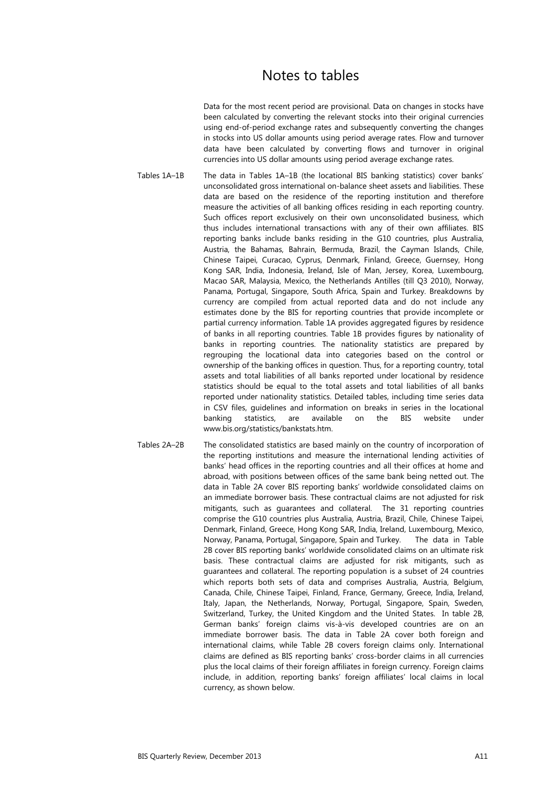# Notes to tables

Data for the most recent period are provisional. Data on changes in stocks have been calculated by converting the relevant stocks into their original currencies using end-of-period exchange rates and subsequently converting the changes in stocks into US dollar amounts using period average rates. Flow and turnover data have been calculated by converting flows and turnover in original currencies into US dollar amounts using period average exchange rates.

Tables 1A–1B The data in Tables 1A–1B (the locational BIS banking statistics) cover banks' unconsolidated gross international on-balance sheet assets and liabilities. These data are based on the residence of the reporting institution and therefore measure the activities of all banking offices residing in each reporting country. Such offices report exclusively on their own unconsolidated business, which thus includes international transactions with any of their own affiliates. BIS reporting banks include banks residing in the G10 countries, plus Australia, Austria, the Bahamas, Bahrain, Bermuda, Brazil, the Cayman Islands, Chile, Chinese Taipei, Curacao, Cyprus, Denmark, Finland, Greece, Guernsey, Hong Kong SAR, India, Indonesia, Ireland, Isle of Man, Jersey, Korea, Luxembourg, Macao SAR, Malaysia, Mexico, the Netherlands Antilles (till Q3 2010), Norway, Panama, Portugal, Singapore, South Africa, Spain and Turkey. Breakdowns by currency are compiled from actual reported data and do not include any estimates done by the BIS for reporting countries that provide incomplete or partial currency information. Table 1A provides aggregated figures by residence of banks in all reporting countries. Table 1B provides figures by nationality of banks in reporting countries. The nationality statistics are prepared by regrouping the locational data into categories based on the control or ownership of the banking offices in question. Thus, for a reporting country, total assets and total liabilities of all banks reported under locational by residence statistics should be equal to the total assets and total liabilities of all banks reported under nationality statistics. Detailed tables, including time series data in CSV files, guidelines and information on breaks in series in the locational banking statistics, are available on the BIS website under www.bis.org/statistics/bankstats.htm.

Tables 2A–2B The consolidated statistics are based mainly on the country of incorporation of the reporting institutions and measure the international lending activities of banks' head offices in the reporting countries and all their offices at home and abroad, with positions between offices of the same bank being netted out. The data in Table 2A cover BIS reporting banks' worldwide consolidated claims on an immediate borrower basis. These contractual claims are not adjusted for risk mitigants, such as guarantees and collateral. The 31 reporting countries comprise the G10 countries plus Australia, Austria, Brazil, Chile, Chinese Taipei, Denmark, Finland, Greece, Hong Kong SAR, India, Ireland, Luxembourg, Mexico, Norway, Panama, Portugal, Singapore, Spain and Turkey. The data in Table 2B cover BIS reporting banks' worldwide consolidated claims on an ultimate risk basis. These contractual claims are adjusted for risk mitigants, such as guarantees and collateral. The reporting population is a subset of 24 countries which reports both sets of data and comprises Australia, Austria, Belgium, Canada, Chile, Chinese Taipei, Finland, France, Germany, Greece, India, Ireland, Italy, Japan, the Netherlands, Norway, Portugal, Singapore, Spain, Sweden, Switzerland, Turkey, the United Kingdom and the United States. In table 2B, German banks' foreign claims vis-à-vis developed countries are on an immediate borrower basis. The data in Table 2A cover both foreign and international claims, while Table 2B covers foreign claims only. International claims are defined as BIS reporting banks' cross-border claims in all currencies plus the local claims of their foreign affiliates in foreign currency. Foreign claims include, in addition, reporting banks' foreign affiliates' local claims in local currency, as shown below.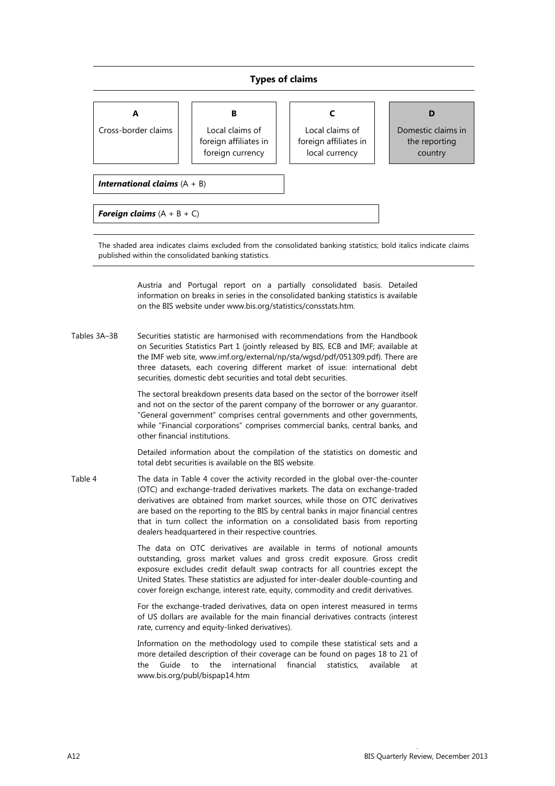### **Types of claims**

| А                                                                                                                | в                                                            |                                                            | D                                              |  |  |  |  |  |  |  |  |
|------------------------------------------------------------------------------------------------------------------|--------------------------------------------------------------|------------------------------------------------------------|------------------------------------------------|--|--|--|--|--|--|--|--|
| Cross-border claims                                                                                              | Local claims of<br>foreign affiliates in<br>foreign currency | Local claims of<br>foreign affiliates in<br>local currency | Domestic claims in<br>the reporting<br>country |  |  |  |  |  |  |  |  |
|                                                                                                                  |                                                              |                                                            |                                                |  |  |  |  |  |  |  |  |
|                                                                                                                  | <b>International claims</b> $(A + B)$                        |                                                            |                                                |  |  |  |  |  |  |  |  |
|                                                                                                                  |                                                              |                                                            |                                                |  |  |  |  |  |  |  |  |
| <b>Foreign claims</b> $(A + B + C)$                                                                              |                                                              |                                                            |                                                |  |  |  |  |  |  |  |  |
|                                                                                                                  |                                                              |                                                            |                                                |  |  |  |  |  |  |  |  |
| The chaded area indicator claims evoluded from the consolidated banking statistics; hold italics indicate claims |                                                              |                                                            |                                                |  |  |  |  |  |  |  |  |

The shaded area indicates claims excluded from the consolidated banking statistics; bold italics indicate claims published within the consolidated banking statistics.

> Austria and Portugal report on a partially consolidated basis. Detailed information on breaks in series in the consolidated banking statistics is available on the BIS website under www.bis.org/statistics/consstats.htm.

Tables 3A–3B Securities statistic are harmonised with recommendations from the Handbook on Securities Statistics Part 1 (jointly released by BIS, ECB and IMF; available at the IMF web site, www.imf.org/external/np/sta/wgsd/pdf/051309.pdf). There are three datasets, each covering different market of issue: international debt securities, domestic debt securities and total debt securities.

> The sectoral breakdown presents data based on the sector of the borrower itself and not on the sector of the parent company of the borrower or any guarantor. "General government" comprises central governments and other governments, while "Financial corporations" comprises commercial banks, central banks, and other financial institutions.

> Detailed information about the compilation of the statistics on domestic and total debt securities is available on the BIS website.

Table 4 The data in Table 4 cover the activity recorded in the global over-the-counter (OTC) and exchange-traded derivatives markets. The data on exchange-traded derivatives are obtained from market sources, while those on OTC derivatives are based on the reporting to the BIS by central banks in major financial centres that in turn collect the information on a consolidated basis from reporting dealers headquartered in their respective countries.

> The data on OTC derivatives are available in terms of notional amounts outstanding, gross market values and gross credit exposure. Gross credit exposure excludes credit default swap contracts for all countries except the United States. These statistics are adjusted for inter-dealer double-counting and cover foreign exchange, interest rate, equity, commodity and credit derivatives.

> For the exchange-traded derivatives, data on open interest measured in terms of US dollars are available for the main financial derivatives contracts (interest rate, currency and equity-linked derivatives).

> Information on the methodology used to compile these statistical sets and a more detailed description of their coverage can be found on pages 18 to 21 of the Guide to the international financial statistics, available at www.bis.org/publ/bispap14.htm

.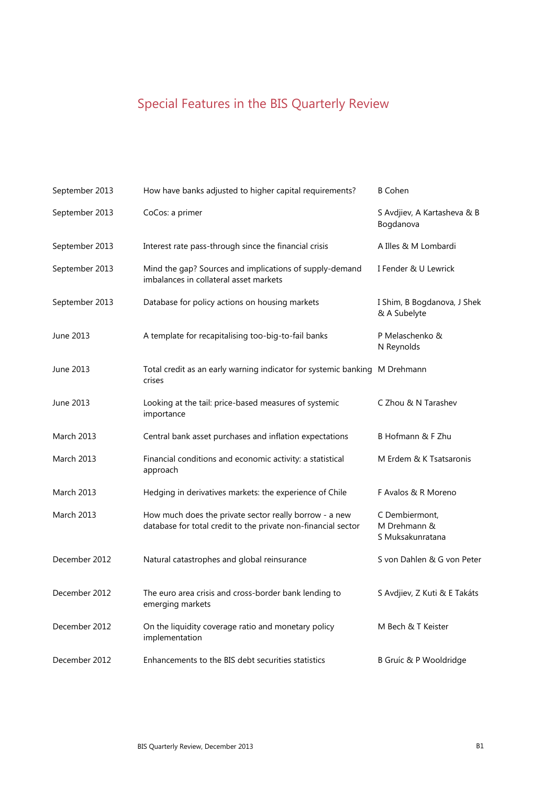# Special Features in the BIS Quarterly Review

| September 2013    | How have banks adjusted to higher capital requirements?                                                                 | <b>B</b> Cohen                                     |
|-------------------|-------------------------------------------------------------------------------------------------------------------------|----------------------------------------------------|
| September 2013    | CoCos: a primer                                                                                                         | S Avdjiev, A Kartasheva & B<br>Bogdanova           |
| September 2013    | Interest rate pass-through since the financial crisis                                                                   | A Illes & M Lombardi                               |
| September 2013    | Mind the gap? Sources and implications of supply-demand<br>imbalances in collateral asset markets                       | I Fender & U Lewrick                               |
| September 2013    | Database for policy actions on housing markets                                                                          | I Shim, B Bogdanova, J Shek<br>& A Subelyte        |
| June 2013         | A template for recapitalising too-big-to-fail banks                                                                     | P Melaschenko &<br>N Reynolds                      |
| June 2013         | Total credit as an early warning indicator for systemic banking M Drehmann<br>crises                                    |                                                    |
| June 2013         | Looking at the tail: price-based measures of systemic<br>importance                                                     | C Zhou & N Tarashev                                |
| <b>March 2013</b> | Central bank asset purchases and inflation expectations                                                                 | B Hofmann & F Zhu                                  |
| March 2013        | Financial conditions and economic activity: a statistical<br>approach                                                   | M Erdem & K Tsatsaronis                            |
| <b>March 2013</b> | Hedging in derivatives markets: the experience of Chile                                                                 | F Avalos & R Moreno                                |
| <b>March 2013</b> | How much does the private sector really borrow - a new<br>database for total credit to the private non-financial sector | C Dembiermont,<br>M Drehmann &<br>S Muksakunratana |
| December 2012     | Natural catastrophes and global reinsurance                                                                             | S von Dahlen & G von Peter                         |
| December 2012     | The euro area crisis and cross-border bank lending to<br>emerging markets                                               | S Avdjiev, Z Kuti & E Takáts                       |
| December 2012     | On the liquidity coverage ratio and monetary policy<br>implementation                                                   | M Bech & T Keister                                 |
| December 2012     | Enhancements to the BIS debt securities statistics                                                                      | B Gruíc & P Wooldridge                             |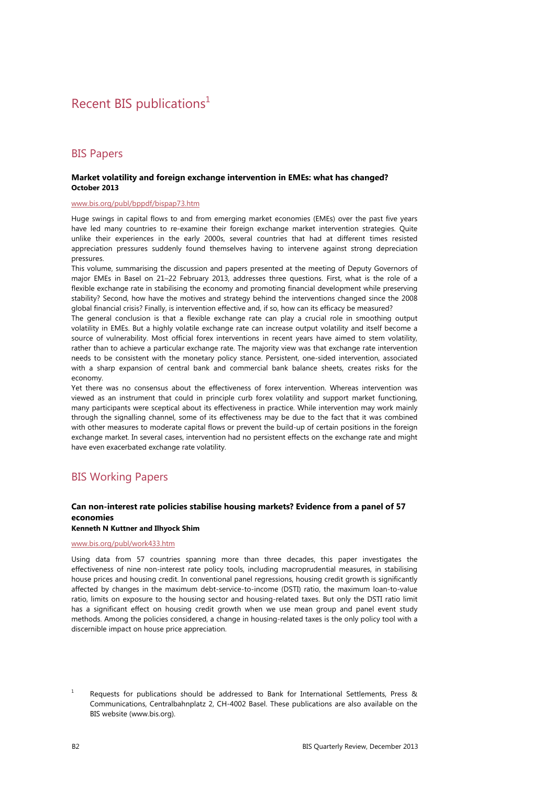# Recent BIS publications<sup>1</sup>

## BIS Papers

#### **Market volatility and foreign exchange intervention in EMEs: what has changed? October 2013**

#### www.bis.org/publ/bppdf/bispap73.htm

Huge swings in capital flows to and from emerging market economies (EMEs) over the past five years have led many countries to re-examine their foreign exchange market intervention strategies. Quite unlike their experiences in the early 2000s, several countries that had at different times resisted appreciation pressures suddenly found themselves having to intervene against strong depreciation pressures.

This volume, summarising the discussion and papers presented at the meeting of Deputy Governors of major EMEs in Basel on 21–22 February 2013, addresses three questions. First, what is the role of a flexible exchange rate in stabilising the economy and promoting financial development while preserving stability? Second, how have the motives and strategy behind the interventions changed since the 2008 global financial crisis? Finally, is intervention effective and, if so, how can its efficacy be measured?

The general conclusion is that a flexible exchange rate can play a crucial role in smoothing output volatility in EMEs. But a highly volatile exchange rate can increase output volatility and itself become a source of vulnerability. Most official forex interventions in recent years have aimed to stem volatility, rather than to achieve a particular exchange rate. The majority view was that exchange rate intervention needs to be consistent with the monetary policy stance. Persistent, one-sided intervention, associated with a sharp expansion of central bank and commercial bank balance sheets, creates risks for the economy.

Yet there was no consensus about the effectiveness of forex intervention. Whereas intervention was viewed as an instrument that could in principle curb forex volatility and support market functioning, many participants were sceptical about its effectiveness in practice. While intervention may work mainly through the signalling channel, some of its effectiveness may be due to the fact that it was combined with other measures to moderate capital flows or prevent the build-up of certain positions in the foreign exchange market. In several cases, intervention had no persistent effects on the exchange rate and might have even exacerbated exchange rate volatility.

## BIS Working Papers

### **Can non-interest rate policies stabilise housing markets? Evidence from a panel of 57 economies**

## **Kenneth N Kuttner and Ilhyock Shim**

#### www.bis.org/publ/work433.htm

Using data from 57 countries spanning more than three decades, this paper investigates the effectiveness of nine non-interest rate policy tools, including macroprudential measures, in stabilising house prices and housing credit. In conventional panel regressions, housing credit growth is significantly affected by changes in the maximum debt-service-to-income (DSTI) ratio, the maximum loan-to-value ratio, limits on exposure to the housing sector and housing-related taxes. But only the DSTI ratio limit has a significant effect on housing credit growth when we use mean group and panel event study methods. Among the policies considered, a change in housing-related taxes is the only policy tool with a discernible impact on house price appreciation.

<sup>1</sup> Requests for publications should be addressed to Bank for International Settlements, Press & Communications, Centralbahnplatz 2, CH-4002 Basel. These publications are also available on the BIS website (www.bis.org).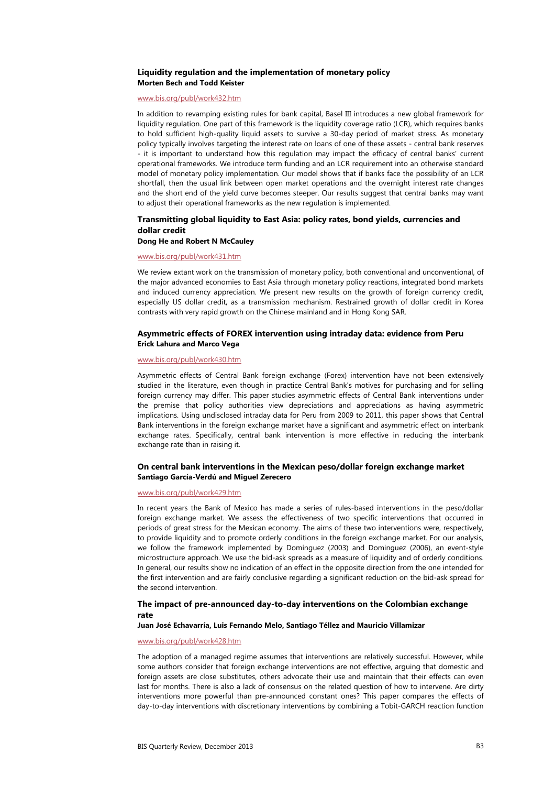#### **Liquidity regulation and the implementation of monetary policy Morten Bech and Todd Keister**

#### www.bis.org/publ/work432.htm

In addition to revamping existing rules for bank capital, Basel III introduces a new global framework for liquidity regulation. One part of this framework is the liquidity coverage ratio (LCR), which requires banks to hold sufficient high-quality liquid assets to survive a 30-day period of market stress. As monetary policy typically involves targeting the interest rate on loans of one of these assets - central bank reserves - it is important to understand how this regulation may impact the efficacy of central banks' current operational frameworks. We introduce term funding and an LCR requirement into an otherwise standard model of monetary policy implementation. Our model shows that if banks face the possibility of an LCR shortfall, then the usual link between open market operations and the overnight interest rate changes and the short end of the yield curve becomes steeper. Our results suggest that central banks may want to adjust their operational frameworks as the new regulation is implemented.

## **Transmitting global liquidity to East Asia: policy rates, bond yields, currencies and dollar credit**

### **Dong He and Robert N McCauley**

### www.bis.org/publ/work431.htm

We review extant work on the transmission of monetary policy, both conventional and unconventional, of the major advanced economies to East Asia through monetary policy reactions, integrated bond markets and induced currency appreciation. We present new results on the growth of foreign currency credit, especially US dollar credit, as a transmission mechanism. Restrained growth of dollar credit in Korea contrasts with very rapid growth on the Chinese mainland and in Hong Kong SAR.

#### **Asymmetric effects of FOREX intervention using intraday data: evidence from Peru Erick Lahura and Marco Vega**

#### www.bis.org/publ/work430.htm

Asymmetric effects of Central Bank foreign exchange (Forex) intervention have not been extensively studied in the literature, even though in practice Central Bank's motives for purchasing and for selling foreign currency may differ. This paper studies asymmetric effects of Central Bank interventions under the premise that policy authorities view depreciations and appreciations as having asymmetric implications. Using undisclosed intraday data for Peru from 2009 to 2011, this paper shows that Central Bank interventions in the foreign exchange market have a significant and asymmetric effect on interbank exchange rates. Specifically, central bank intervention is more effective in reducing the interbank exchange rate than in raising it.

#### **On central bank interventions in the Mexican peso/dollar foreign exchange market Santiago García-Verdú and Miguel Zerecero**

#### www.bis.org/publ/work429.htm

In recent years the Bank of Mexico has made a series of rules-based interventions in the peso/dollar foreign exchange market. We assess the effectiveness of two specific interventions that occurred in periods of great stress for the Mexican economy. The aims of these two interventions were, respectively, to provide liquidity and to promote orderly conditions in the foreign exchange market. For our analysis, we follow the framework implemented by Dominguez (2003) and Dominguez (2006), an event-style microstructure approach. We use the bid-ask spreads as a measure of liquidity and of orderly conditions. In general, our results show no indication of an effect in the opposite direction from the one intended for the first intervention and are fairly conclusive regarding a significant reduction on the bid-ask spread for the second intervention.

#### **The impact of pre-announced day-to-day interventions on the Colombian exchange rate**

#### **Juan José Echavarría, Luis Fernando Melo, Santiago Téllez and Mauricio Villamizar**

#### www.bis.org/publ/work428.htm

The adoption of a managed regime assumes that interventions are relatively successful. However, while some authors consider that foreign exchange interventions are not effective, arguing that domestic and foreign assets are close substitutes, others advocate their use and maintain that their effects can even last for months. There is also a lack of consensus on the related question of how to intervene. Are dirty interventions more powerful than pre-announced constant ones? This paper compares the effects of day-to-day interventions with discretionary interventions by combining a Tobit-GARCH reaction function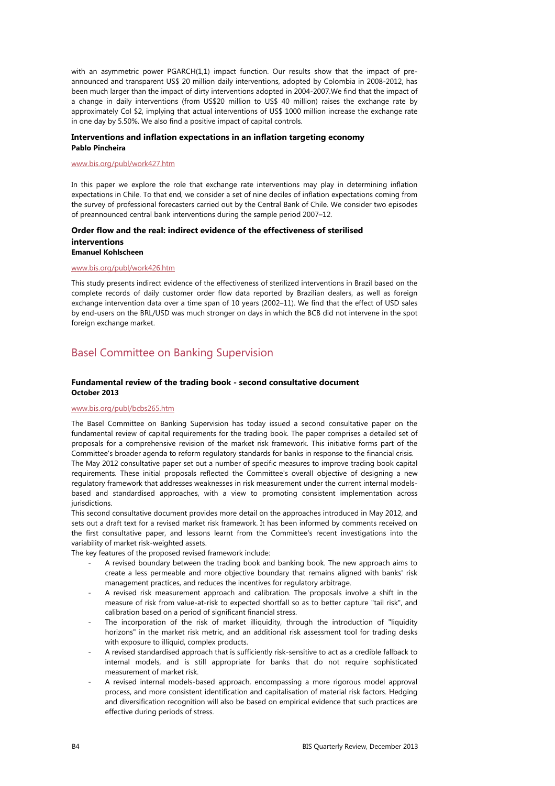with an asymmetric power PGARCH(1,1) impact function. Our results show that the impact of preannounced and transparent US\$ 20 million daily interventions, adopted by Colombia in 2008-2012, has been much larger than the impact of dirty interventions adopted in 2004-2007.We find that the impact of a change in daily interventions (from US\$20 million to US\$ 40 million) raises the exchange rate by approximately Col \$2, implying that actual interventions of US\$ 1000 million increase the exchange rate in one day by 5.50%. We also find a positive impact of capital controls.

#### **Interventions and inflation expectations in an inflation targeting economy Pablo Pincheira**

#### www.bis.org/publ/work427.htm

In this paper we explore the role that exchange rate interventions may play in determining inflation expectations in Chile. To that end, we consider a set of nine deciles of inflation expectations coming from the survey of professional forecasters carried out by the Central Bank of Chile. We consider two episodes of preannounced central bank interventions during the sample period 2007–12.

#### **Order flow and the real: indirect evidence of the effectiveness of sterilised interventions Emanuel Kohlscheen**

#### www.bis.org/publ/work426.htm

This study presents indirect evidence of the effectiveness of sterilized interventions in Brazil based on the complete records of daily customer order flow data reported by Brazilian dealers, as well as foreign exchange intervention data over a time span of 10 years (2002–11). We find that the effect of USD sales by end-users on the BRL/USD was much stronger on days in which the BCB did not intervene in the spot foreign exchange market.

## Basel Committee on Banking Supervision

#### **Fundamental review of the trading book - second consultative document October 2013**

#### www.bis.org/publ/bcbs265.htm

The Basel Committee on Banking Supervision has today issued a second consultative paper on the fundamental review of capital requirements for the trading book. The paper comprises a detailed set of proposals for a comprehensive revision of the market risk framework. This initiative forms part of the Committee's broader agenda to reform regulatory standards for banks in response to the financial crisis. The May 2012 consultative paper set out a number of specific measures to improve trading book capital requirements. These initial proposals reflected the Committee's overall objective of designing a new regulatory framework that addresses weaknesses in risk measurement under the current internal modelsbased and standardised approaches, with a view to promoting consistent implementation across jurisdictions.

This second consultative document provides more detail on the approaches introduced in May 2012, and sets out a draft text for a revised market risk framework. It has been informed by comments received on the first consultative paper, and lessons learnt from the Committee's recent investigations into the variability of market risk-weighted assets.

The key features of the proposed revised framework include:

- A revised boundary between the trading book and banking book. The new approach aims to create a less permeable and more objective boundary that remains aligned with banks' risk management practices, and reduces the incentives for regulatory arbitrage.
- A revised risk measurement approach and calibration. The proposals involve a shift in the measure of risk from value-at-risk to expected shortfall so as to better capture "tail risk", and calibration based on a period of significant financial stress.
- The incorporation of the risk of market illiquidity, through the introduction of "liquidity horizons" in the market risk metric, and an additional risk assessment tool for trading desks with exposure to illiquid, complex products.
- A revised standardised approach that is sufficiently risk-sensitive to act as a credible fallback to internal models, and is still appropriate for banks that do not require sophisticated measurement of market risk.
- A revised internal models-based approach, encompassing a more rigorous model approval process, and more consistent identification and capitalisation of material risk factors. Hedging and diversification recognition will also be based on empirical evidence that such practices are effective during periods of stress.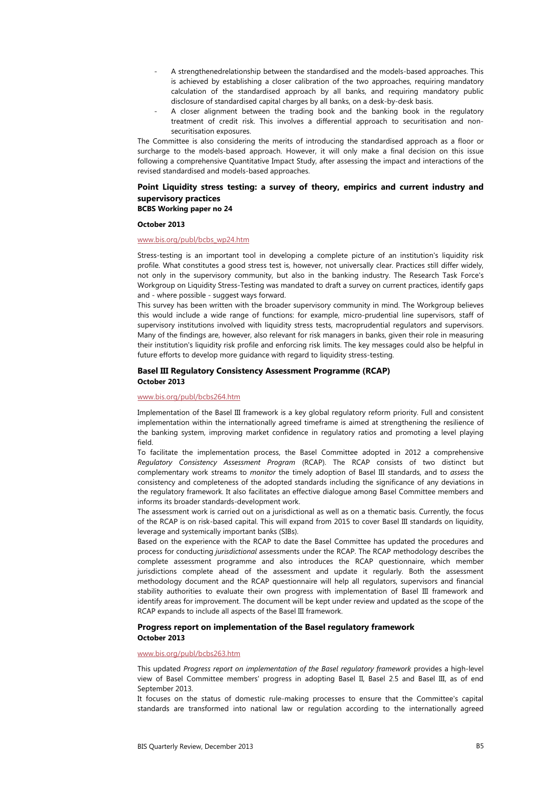- A strengthenedrelationship between the standardised and the models-based approaches. This is achieved by establishing a closer calibration of the two approaches, requiring mandatory calculation of the standardised approach by all banks, and requiring mandatory public disclosure of standardised capital charges by all banks, on a desk-by-desk basis.
- A closer alignment between the trading book and the banking book in the regulatory treatment of credit risk. This involves a differential approach to securitisation and nonsecuritisation exposures.

The Committee is also considering the merits of introducing the standardised approach as a floor or surcharge to the models-based approach. However, it will only make a final decision on this issue following a comprehensive Quantitative Impact Study, after assessing the impact and interactions of the revised standardised and models-based approaches.

#### **Point Liquidity stress testing: a survey of theory, empirics and current industry and supervisory practices BCBS Working paper no 24**

#### **October 2013**

#### www.bis.org/publ/bcbs\_wp24.htm

Stress-testing is an important tool in developing a complete picture of an institution's liquidity risk profile. What constitutes a good stress test is, however, not universally clear. Practices still differ widely, not only in the supervisory community, but also in the banking industry. The Research Task Force's Workgroup on Liquidity Stress-Testing was mandated to draft a survey on current practices, identify gaps and - where possible - suggest ways forward.

This survey has been written with the broader supervisory community in mind. The Workgroup believes this would include a wide range of functions: for example, micro-prudential line supervisors, staff of supervisory institutions involved with liquidity stress tests, macroprudential regulators and supervisors. Many of the findings are, however, also relevant for risk managers in banks, given their role in measuring their institution's liquidity risk profile and enforcing risk limits. The key messages could also be helpful in future efforts to develop more guidance with regard to liquidity stress-testing.

#### **Basel III Regulatory Consistency Assessment Programme (RCAP) October 2013**

#### www.bis.org/publ/bcbs264.htm

Implementation of the Basel III framework is a key global regulatory reform priority. Full and consistent implementation within the internationally agreed timeframe is aimed at strengthening the resilience of the banking system, improving market confidence in regulatory ratios and promoting a level playing field.

To facilitate the implementation process, the Basel Committee adopted in 2012 a comprehensive *Regulatory Consistency Assessment Program* (RCAP). The RCAP consists of two distinct but complementary work streams to *monitor* the timely adoption of Basel III standards, and to *assess* the consistency and completeness of the adopted standards including the significance of any deviations in the regulatory framework. It also facilitates an effective dialogue among Basel Committee members and informs its broader standards-development work.

The assessment work is carried out on a jurisdictional as well as on a thematic basis. Currently, the focus of the RCAP is on risk-based capital. This will expand from 2015 to cover Basel III standards on liquidity, leverage and systemically important banks (SIBs).

Based on the experience with the RCAP to date the Basel Committee has updated the procedures and process for conducting *jurisdictional* assessments under the RCAP. The RCAP methodology describes the complete assessment programme and also introduces the RCAP questionnaire, which member jurisdictions complete ahead of the assessment and update it regularly. Both the assessment methodology document and the RCAP questionnaire will help all regulators, supervisors and financial stability authorities to evaluate their own progress with implementation of Basel III framework and identify areas for improvement. The document will be kept under review and updated as the scope of the RCAP expands to include all aspects of the Basel III framework.

#### **Progress report on implementation of the Basel regulatory framework October 2013**

#### www.bis.org/publ/bcbs263.htm

This updated *Progress report on implementation of the Basel regulatory framework* provides a high-level view of Basel Committee members' progress in adopting Basel II, Basel 2.5 and Basel III, as of end September 2013.

It focuses on the status of domestic rule-making processes to ensure that the Committee's capital standards are transformed into national law or regulation according to the internationally agreed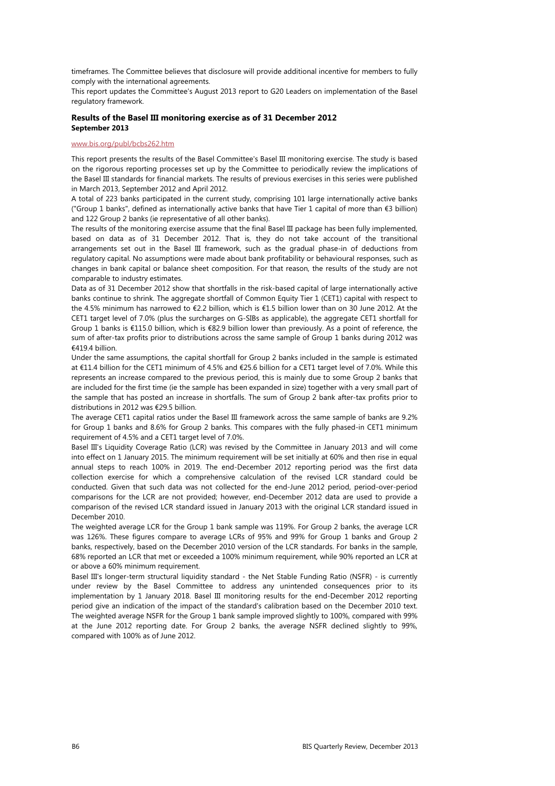timeframes. The Committee believes that disclosure will provide additional incentive for members to fully comply with the international agreements.

This report updates the Committee's August 2013 report to G20 Leaders on implementation of the Basel regulatory framework.

#### **Results of the Basel III monitoring exercise as of 31 December 2012 September 2013**

#### www.bis.org/publ/bcbs262.htm

This report presents the results of the Basel Committee's Basel III monitoring exercise. The study is based on the rigorous reporting processes set up by the Committee to periodically review the implications of the Basel III standards for financial markets. The results of previous exercises in this series were published in March 2013, September 2012 and April 2012.

A total of 223 banks participated in the current study, comprising 101 large internationally active banks ("Group 1 banks", defined as internationally active banks that have Tier 1 capital of more than €3 billion) and 122 Group 2 banks (ie representative of all other banks).

The results of the monitoring exercise assume that the final Basel III package has been fully implemented, based on data as of 31 December 2012. That is, they do not take account of the transitional arrangements set out in the Basel III framework, such as the gradual phase-in of deductions from regulatory capital. No assumptions were made about bank profitability or behavioural responses, such as changes in bank capital or balance sheet composition. For that reason, the results of the study are not comparable to industry estimates.

Data as of 31 December 2012 show that shortfalls in the risk-based capital of large internationally active banks continue to shrink. The aggregate shortfall of Common Equity Tier 1 (CET1) capital with respect to the 4.5% minimum has narrowed to €2.2 billion, which is €1.5 billion lower than on 30 June 2012. At the CET1 target level of 7.0% (plus the surcharges on G-SIBs as applicable), the aggregate CET1 shortfall for Group 1 banks is €115.0 billion, which is €82.9 billion lower than previously. As a point of reference, the sum of after-tax profits prior to distributions across the same sample of Group 1 banks during 2012 was €419.4 billion.

Under the same assumptions, the capital shortfall for Group 2 banks included in the sample is estimated at €11.4 billion for the CET1 minimum of 4.5% and €25.6 billion for a CET1 target level of 7.0%. While this represents an increase compared to the previous period, this is mainly due to some Group 2 banks that are included for the first time (ie the sample has been expanded in size) together with a very small part of the sample that has posted an increase in shortfalls. The sum of Group 2 bank after-tax profits prior to distributions in 2012 was €29.5 billion.

The average CET1 capital ratios under the Basel III framework across the same sample of banks are 9.2% for Group 1 banks and 8.6% for Group 2 banks. This compares with the fully phased-in CET1 minimum requirement of 4.5% and a CET1 target level of 7.0%.

Basel III's Liquidity Coverage Ratio (LCR) was revised by the Committee in January 2013 and will come into effect on 1 January 2015. The minimum requirement will be set initially at 60% and then rise in equal annual steps to reach 100% in 2019. The end-December 2012 reporting period was the first data collection exercise for which a comprehensive calculation of the revised LCR standard could be conducted. Given that such data was not collected for the end-June 2012 period, period-over-period comparisons for the LCR are not provided; however, end-December 2012 data are used to provide a comparison of the revised LCR standard issued in January 2013 with the original LCR standard issued in December 2010.

The weighted average LCR for the Group 1 bank sample was 119%. For Group 2 banks, the average LCR was 126%. These figures compare to average LCRs of 95% and 99% for Group 1 banks and Group 2 banks, respectively, based on the December 2010 version of the LCR standards. For banks in the sample, 68% reported an LCR that met or exceeded a 100% minimum requirement, while 90% reported an LCR at or above a 60% minimum requirement.

Basel III's longer-term structural liquidity standard - the Net Stable Funding Ratio (NSFR) - is currently under review by the Basel Committee to address any unintended consequences prior to its implementation by 1 January 2018. Basel III monitoring results for the end-December 2012 reporting period give an indication of the impact of the standard's calibration based on the December 2010 text. The weighted average NSFR for the Group 1 bank sample improved slightly to 100%, compared with 99% at the June 2012 reporting date. For Group 2 banks, the average NSFR declined slightly to 99%, compared with 100% as of June 2012.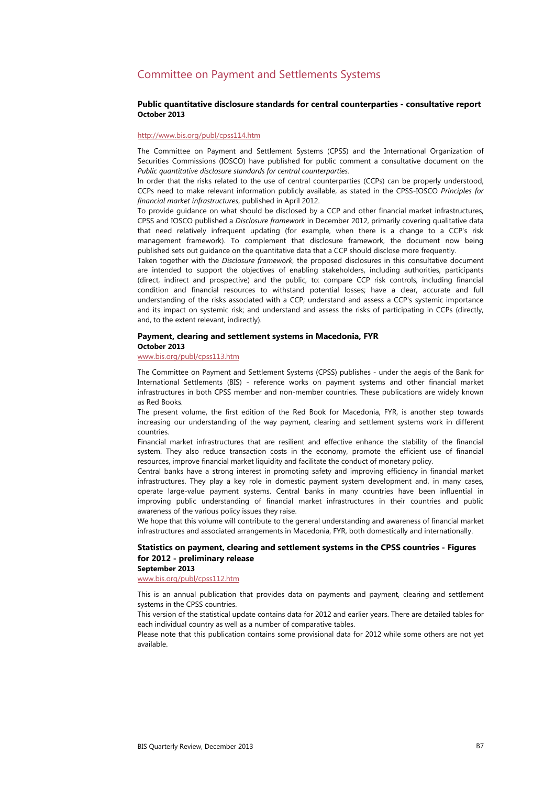## Committee on Payment and Settlements Systems

#### **Public quantitative disclosure standards for central counterparties - consultative report October 2013**

#### http://www.bis.org/publ/cpss114.htm

The Committee on Payment and Settlement Systems (CPSS) and the International Organization of Securities Commissions (IOSCO) have published for public comment a consultative document on the *Public quantitative disclosure standards for central counterparties*.

In order that the risks related to the use of central counterparties (CCPs) can be properly understood, CCPs need to make relevant information publicly available, as stated in the CPSS-IOSCO *Principles for financial market infrastructures*, published in April 2012.

To provide guidance on what should be disclosed by a CCP and other financial market infrastructures, CPSS and IOSCO published a *Disclosure framework* in December 2012, primarily covering qualitative data that need relatively infrequent updating (for example, when there is a change to a CCP's risk management framework). To complement that disclosure framework, the document now being published sets out guidance on the quantitative data that a CCP should disclose more frequently.

Taken together with the *Disclosure framework*, the proposed disclosures in this consultative document are intended to support the objectives of enabling stakeholders, including authorities, participants (direct, indirect and prospective) and the public, to: compare CCP risk controls, including financial condition and financial resources to withstand potential losses; have a clear, accurate and full understanding of the risks associated with a CCP; understand and assess a CCP's systemic importance and its impact on systemic risk; and understand and assess the risks of participating in CCPs (directly, and, to the extent relevant, indirectly).

#### **Payment, clearing and settlement systems in Macedonia, FYR**

#### **October 2013**

### www.bis.org/publ/cpss113.htm

The Committee on Payment and Settlement Systems (CPSS) publishes - under the aegis of the Bank for International Settlements (BIS) - reference works on payment systems and other financial market infrastructures in both CPSS member and non-member countries. These publications are widely known as Red Books.

The present volume, the first edition of the Red Book for Macedonia, FYR, is another step towards increasing our understanding of the way payment, clearing and settlement systems work in different countries.

Financial market infrastructures that are resilient and effective enhance the stability of the financial system. They also reduce transaction costs in the economy, promote the efficient use of financial resources, improve financial market liquidity and facilitate the conduct of monetary policy.

Central banks have a strong interest in promoting safety and improving efficiency in financial market infrastructures. They play a key role in domestic payment system development and, in many cases, operate large-value payment systems. Central banks in many countries have been influential in improving public understanding of financial market infrastructures in their countries and public awareness of the various policy issues they raise.

We hope that this volume will contribute to the general understanding and awareness of financial market infrastructures and associated arrangements in Macedonia, FYR, both domestically and internationally.

### **Statistics on payment, clearing and settlement systems in the CPSS countries - Figures for 2012 - preliminary release**

### **September 2013**

www.bis.org/publ/cpss112.htm

This is an annual publication that provides data on payments and payment, clearing and settlement systems in the CPSS countries.

This version of the statistical update contains data for 2012 and earlier years. There are detailed tables for each individual country as well as a number of comparative tables.

Please note that this publication contains some provisional data for 2012 while some others are not yet available.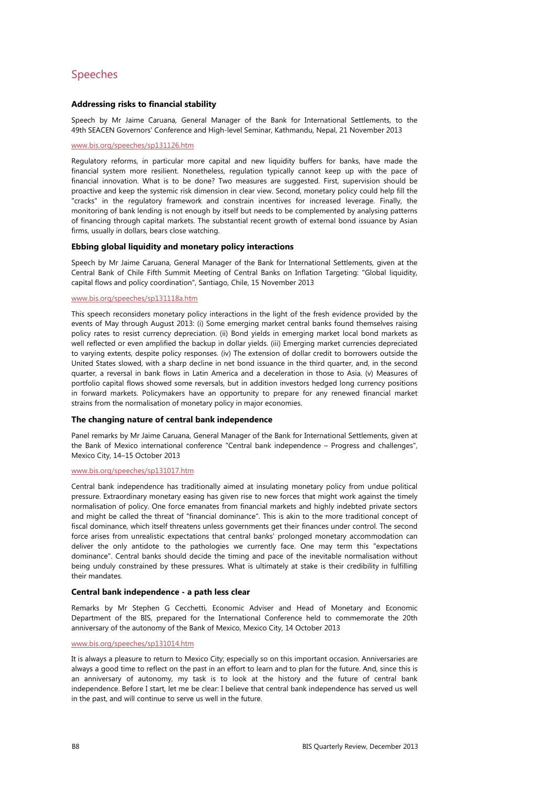## Speeches

### **Addressing risks to financial stability**

Speech by Mr Jaime Caruana, General Manager of the Bank for International Settlements, to the 49th SEACEN Governors' Conference and High-level Seminar, Kathmandu, Nepal, 21 November 2013

#### www.bis.org/speeches/sp131126.htm

Regulatory reforms, in particular more capital and new liquidity buffers for banks, have made the financial system more resilient. Nonetheless, regulation typically cannot keep up with the pace of financial innovation. What is to be done? Two measures are suggested. First, supervision should be proactive and keep the systemic risk dimension in clear view. Second, monetary policy could help fill the "cracks" in the regulatory framework and constrain incentives for increased leverage. Finally, the monitoring of bank lending is not enough by itself but needs to be complemented by analysing patterns of financing through capital markets. The substantial recent growth of external bond issuance by Asian firms, usually in dollars, bears close watching.

#### **Ebbing global liquidity and monetary policy interactions**

Speech by Mr Jaime Caruana, General Manager of the Bank for International Settlements, given at the Central Bank of Chile Fifth Summit Meeting of Central Banks on Inflation Targeting: "Global liquidity, capital flows and policy coordination", Santiago, Chile, 15 November 2013

#### www.bis.org/speeches/sp131118a.htm

This speech reconsiders monetary policy interactions in the light of the fresh evidence provided by the events of May through August 2013: (i) Some emerging market central banks found themselves raising policy rates to resist currency depreciation. (ii) Bond yields in emerging market local bond markets as well reflected or even amplified the backup in dollar yields. (iii) Emerging market currencies depreciated to varying extents, despite policy responses. (iv) The extension of dollar credit to borrowers outside the United States slowed, with a sharp decline in net bond issuance in the third quarter, and, in the second quarter, a reversal in bank flows in Latin America and a deceleration in those to Asia. (v) Measures of portfolio capital flows showed some reversals, but in addition investors hedged long currency positions in forward markets. Policymakers have an opportunity to prepare for any renewed financial market strains from the normalisation of monetary policy in major economies.

#### **The changing nature of central bank independence**

Panel remarks by Mr Jaime Caruana, General Manager of the Bank for International Settlements, given at the Bank of Mexico international conference "Central bank independence – Progress and challenges", Mexico City, 14–15 October 2013

#### www.bis.org/speeches/sp131017.htm

Central bank independence has traditionally aimed at insulating monetary policy from undue political pressure. Extraordinary monetary easing has given rise to new forces that might work against the timely normalisation of policy. One force emanates from financial markets and highly indebted private sectors and might be called the threat of "financial dominance". This is akin to the more traditional concept of fiscal dominance, which itself threatens unless governments get their finances under control. The second force arises from unrealistic expectations that central banks' prolonged monetary accommodation can deliver the only antidote to the pathologies we currently face. One may term this "expectations dominance". Central banks should decide the timing and pace of the inevitable normalisation without being unduly constrained by these pressures. What is ultimately at stake is their credibility in fulfilling their mandates.

#### **Central bank independence - a path less clear**

Remarks by Mr Stephen G Cecchetti, Economic Adviser and Head of Monetary and Economic Department of the BIS, prepared for the International Conference held to commemorate the 20th anniversary of the autonomy of the Bank of Mexico, Mexico City, 14 October 2013

#### www.bis.org/speeches/sp131014.htm

It is always a pleasure to return to Mexico City; especially so on this important occasion. Anniversaries are always a good time to reflect on the past in an effort to learn and to plan for the future. And, since this is an anniversary of autonomy, my task is to look at the history and the future of central bank independence. Before I start, let me be clear: I believe that central bank independence has served us well in the past, and will continue to serve us well in the future.